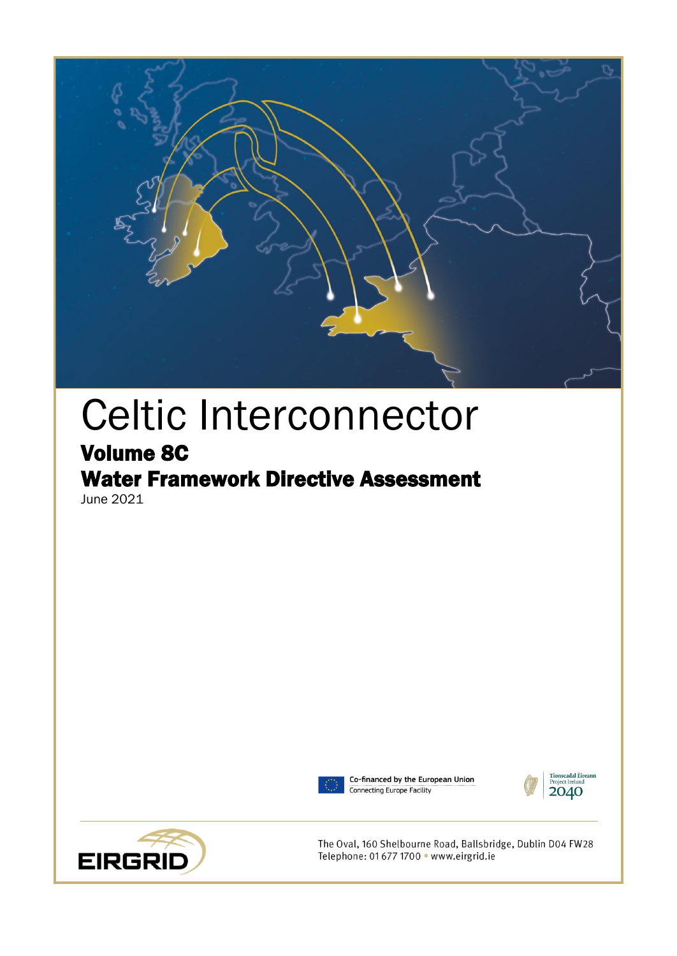

# Celtic Interconnector

# Volume 8C

# Water Framework Directive Assessment June 2021





Co-financed by the European Union Connecting Europe Facility





The Oval, 160 Shelbourne Road, Ballsbridge, Dublin D04 FW28 Telephone: 01 677 1700 · www.eirgrid.ie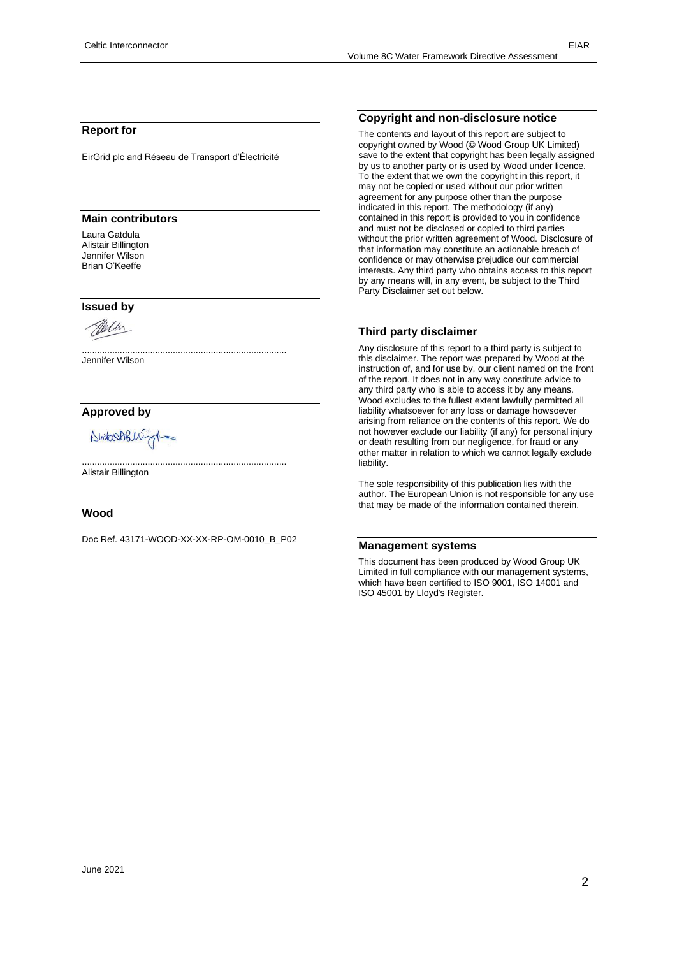#### **Report for**

EirGrid plc and Réseau de Transport d'Électricité

#### **Main contributors**

Laura Gatdula Alistair Billington Jennifer Wilson Brian O'Keeffe

#### **Issued by**



Jennifer Wilson

#### **Approved by**

Abitan Obligat

Alistair Billington

#### **Wood**

Doc Ref. 43171-WOOD-XX-XX-RP-OM-0010\_B\_P02

.................................................................................

.................................................................................

#### **Copyright and non-disclosure notice**

The contents and layout of this report are subject to copyright owned by Wood (© Wood Group UK Limited) save to the extent that copyright has been legally assigned by us to another party or is used by Wood under licence. To the extent that we own the copyright in this report, it may not be copied or used without our prior written agreement for any purpose other than the purpose indicated in this report. The methodology (if any) contained in this report is provided to you in confidence and must not be disclosed or copied to third parties without the prior written agreement of Wood. Disclosure of that information may constitute an actionable breach of confidence or may otherwise prejudice our commercial interests. Any third party who obtains access to this report by any means will, in any event, be subject to the Third Party Disclaimer set out below.

#### **Third party disclaimer**

Any disclosure of this report to a third party is subject to this disclaimer. The report was prepared by Wood at the instruction of, and for use by, our client named on the front of the report. It does not in any way constitute advice to any third party who is able to access it by any means. Wood excludes to the fullest extent lawfully permitted all liability whatsoever for any loss or damage howsoever arising from reliance on the contents of this report. We do not however exclude our liability (if any) for personal injury or death resulting from our negligence, for fraud or any other matter in relation to which we cannot legally exclude liability.

The sole responsibility of this publication lies with the author. The European Union is not responsible for any use that may be made of the information contained therein.

#### **Management systems**

This document has been produced by Wood Group UK Limited in full compliance with our management systems, which have been certified to ISO 9001, ISO 14001 and ISO 45001 by Lloyd's Register.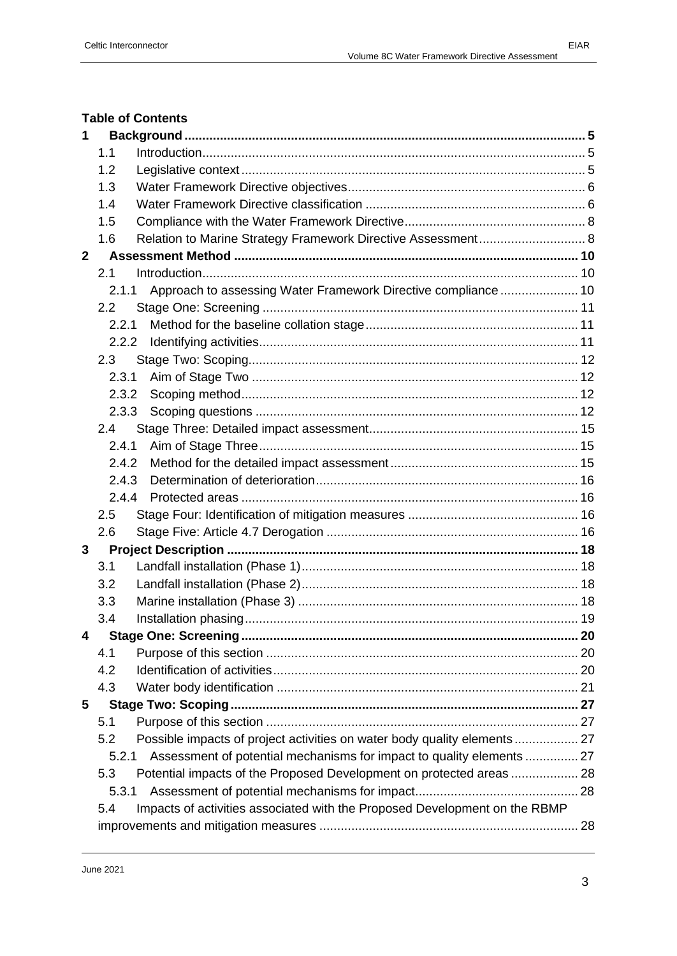#### **Table of Contents**

| 1            |                                                                                   |     |  |  |  |
|--------------|-----------------------------------------------------------------------------------|-----|--|--|--|
|              | 1.1                                                                               |     |  |  |  |
|              | 1.2                                                                               |     |  |  |  |
|              | 1.3                                                                               |     |  |  |  |
|              | 1.4                                                                               |     |  |  |  |
|              | 1.5                                                                               |     |  |  |  |
|              | Relation to Marine Strategy Framework Directive Assessment 8<br>1.6               |     |  |  |  |
| $\mathbf{2}$ |                                                                                   |     |  |  |  |
|              | 2.1                                                                               |     |  |  |  |
|              | Approach to assessing Water Framework Directive compliance  10<br>2.1.1           |     |  |  |  |
|              | 2.2                                                                               |     |  |  |  |
|              | 2.2.1                                                                             |     |  |  |  |
|              | 2.2.2                                                                             |     |  |  |  |
|              | 2.3                                                                               |     |  |  |  |
|              | 2.3.1                                                                             |     |  |  |  |
|              | 2.3.2                                                                             |     |  |  |  |
|              | 2.3.3                                                                             |     |  |  |  |
|              | 2.4                                                                               |     |  |  |  |
|              | 2.4.1                                                                             |     |  |  |  |
|              | 2.4.2                                                                             |     |  |  |  |
|              | 2.4.3                                                                             |     |  |  |  |
|              | 2.4.4                                                                             |     |  |  |  |
|              | 2.5                                                                               |     |  |  |  |
|              | 2.6                                                                               |     |  |  |  |
| 3            |                                                                                   |     |  |  |  |
|              | 3.1                                                                               |     |  |  |  |
|              | 3.2                                                                               |     |  |  |  |
|              | 3.3                                                                               |     |  |  |  |
|              | 3.4                                                                               |     |  |  |  |
|              |                                                                                   | .20 |  |  |  |
|              | 4.1                                                                               |     |  |  |  |
|              | 4.2                                                                               |     |  |  |  |
|              | 4.3                                                                               |     |  |  |  |
| 5            |                                                                                   |     |  |  |  |
|              | 5.1                                                                               |     |  |  |  |
|              | Possible impacts of project activities on water body quality elements  27<br>5.2  |     |  |  |  |
|              | Assessment of potential mechanisms for impact to quality elements  27<br>5.2.1    |     |  |  |  |
|              | Potential impacts of the Proposed Development on protected areas  28<br>5.3       |     |  |  |  |
|              | 5.3.1                                                                             |     |  |  |  |
|              | Impacts of activities associated with the Proposed Development on the RBMP<br>5.4 |     |  |  |  |
|              |                                                                                   |     |  |  |  |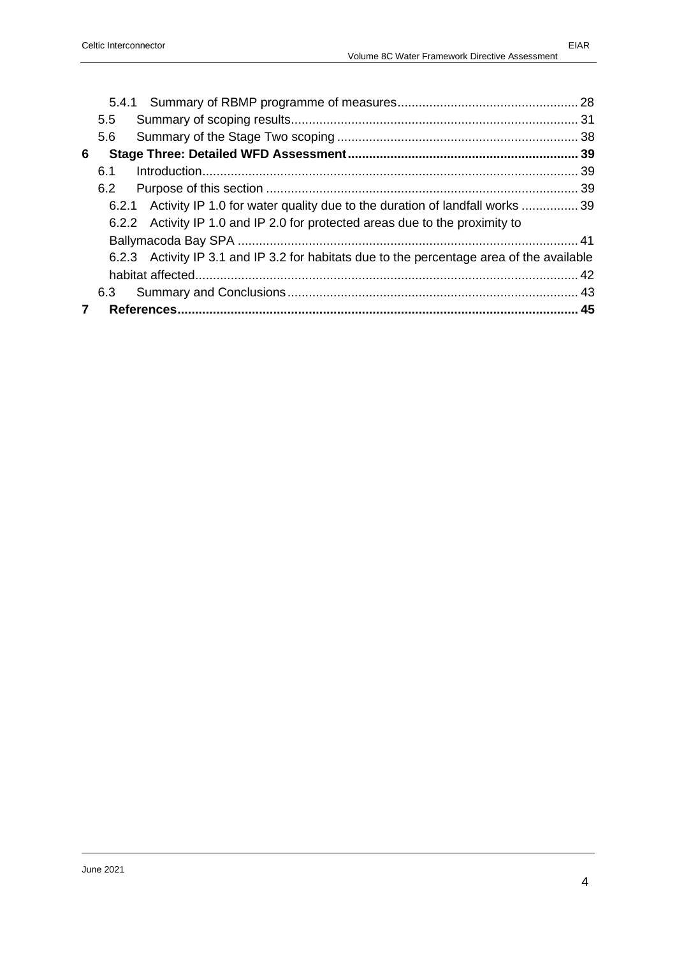|   | $5.5^{\circ}$                                                                             |  |
|---|-------------------------------------------------------------------------------------------|--|
|   | 5.6                                                                                       |  |
| 6 |                                                                                           |  |
|   | 6.1                                                                                       |  |
|   | 6.2                                                                                       |  |
|   | 6.2.1 Activity IP 1.0 for water quality due to the duration of landfall works  39         |  |
|   | 6.2.2 Activity IP 1.0 and IP 2.0 for protected areas due to the proximity to              |  |
|   |                                                                                           |  |
|   | 6.2.3 Activity IP 3.1 and IP 3.2 for habitats due to the percentage area of the available |  |
|   |                                                                                           |  |
|   | 6.3                                                                                       |  |
|   |                                                                                           |  |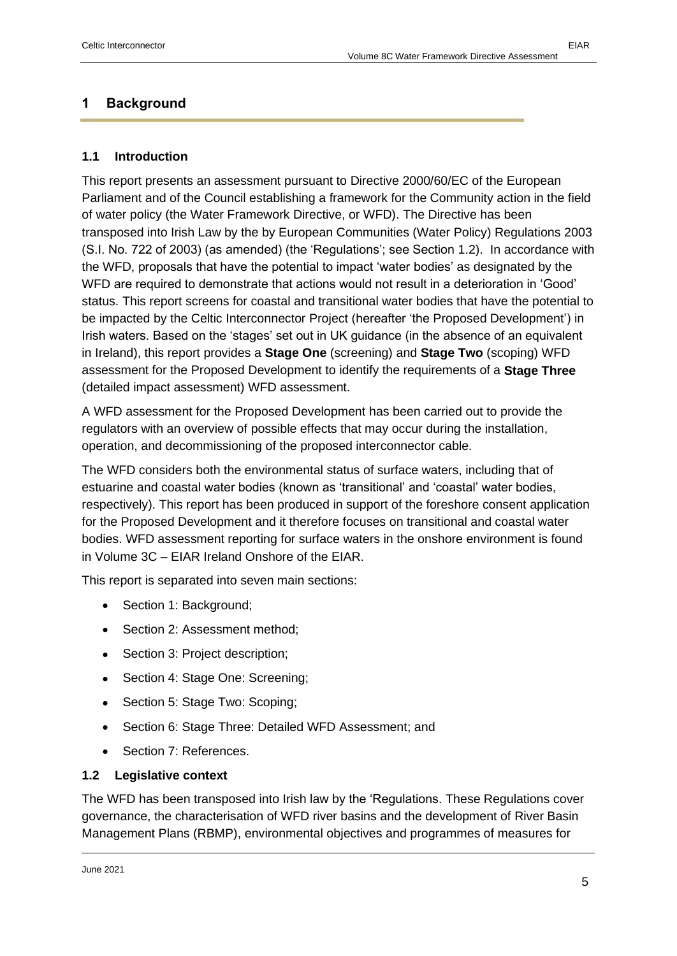#### <span id="page-4-0"></span>**1 Background**

#### <span id="page-4-1"></span>**1.1 Introduction**

This report presents an assessment pursuant to Directive 2000/60/EC of the European Parliament and of the Council establishing a framework for the Community action in the field of water policy (the Water Framework Directive, or WFD). The Directive has been transposed into Irish Law by the by European Communities (Water Policy) Regulations 2003 (S.I. No. 722 of 2003) (as amended) (the 'Regulations'; see Section [1.2\)](#page-4-2). In accordance with the WFD, proposals that have the potential to impact 'water bodies' as designated by the WFD are required to demonstrate that actions would not result in a deterioration in 'Good' status. This report screens for coastal and transitional water bodies that have the potential to be impacted by the Celtic Interconnector Project (hereafter 'the Proposed Development') in Irish waters. Based on the 'stages' set out in UK guidance (in the absence of an equivalent in Ireland), this report provides a **Stage One** (screening) and **Stage Two** (scoping) WFD assessment for the Proposed Development to identify the requirements of a **Stage Three** (detailed impact assessment) WFD assessment.

A WFD assessment for the Proposed Development has been carried out to provide the regulators with an overview of possible effects that may occur during the installation, operation, and decommissioning of the proposed interconnector cable.

The WFD considers both the environmental status of surface waters, including that of estuarine and coastal water bodies (known as 'transitional' and 'coastal' water bodies, respectively). This report has been produced in support of the foreshore consent application for the Proposed Development and it therefore focuses on transitional and coastal water bodies. WFD assessment reporting for surface waters in the onshore environment is found in Volume 3C – EIAR Ireland Onshore of the EIAR.

This report is separated into seven main sections:

- Section 1: Background;
- Section 2: Assessment method;
- Section 3: Project description;
- Section 4: Stage One: Screening;
- Section 5: Stage Two: Scoping;
- Section 6: Stage Three: Detailed WFD Assessment; and
- Section 7: References.

#### <span id="page-4-2"></span>**1.2 Legislative context**

The WFD has been transposed into Irish law by the 'Regulations. These Regulations cover governance, the characterisation of WFD river basins and the development of River Basin Management Plans (RBMP), environmental objectives and programmes of measures for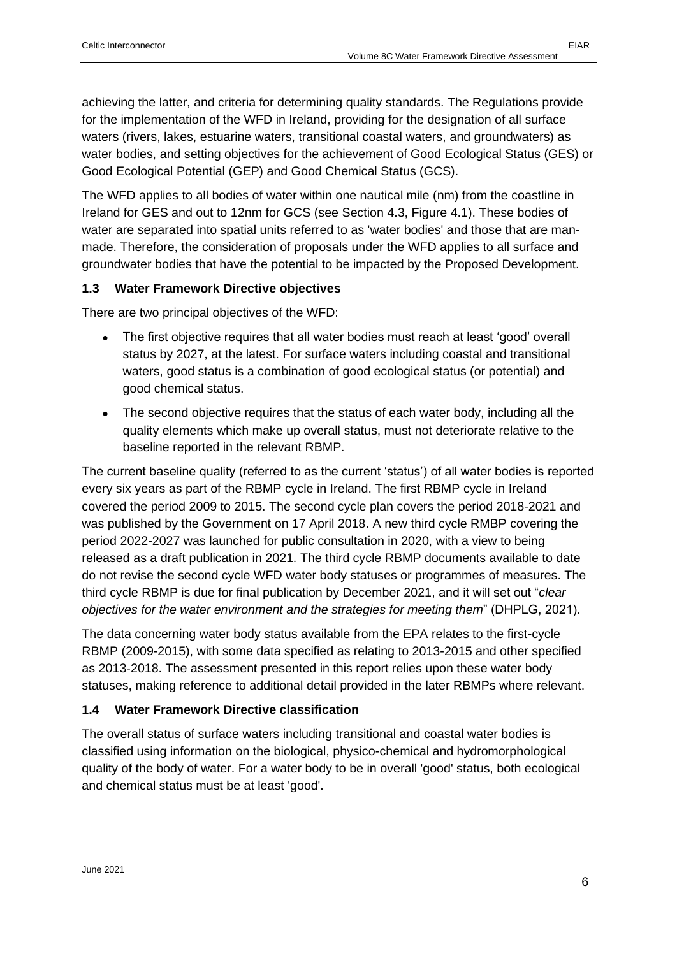achieving the latter, and criteria for determining quality standards. The Regulations provide for the implementation of the WFD in Ireland, providing for the designation of all surface waters (rivers, lakes, estuarine waters, transitional coastal waters, and groundwaters) as water bodies, and setting objectives for the achievement of Good Ecological Status (GES) or Good Ecological Potential (GEP) and Good Chemical Status (GCS).

The WFD applies to all bodies of water within one nautical mile (nm) from the coastline in Ireland for GES and out to 12nm for GCS (see Section 4.3, Figure 4.1). These bodies of water are separated into spatial units referred to as 'water bodies' and those that are manmade. Therefore, the consideration of proposals under the WFD applies to all surface and groundwater bodies that have the potential to be impacted by the Proposed Development.

#### <span id="page-5-0"></span>**1.3 Water Framework Directive objectives**

There are two principal objectives of the WFD:

- The first objective requires that all water bodies must reach at least 'good' overall status by 2027, at the latest. For surface waters including coastal and transitional waters, good status is a combination of good ecological status (or potential) and good chemical status.
- The second objective requires that the status of each water body, including all the quality elements which make up overall status, must not deteriorate relative to the baseline reported in the relevant RBMP.

The current baseline quality (referred to as the current 'status') of all water bodies is reported every six years as part of the RBMP cycle in Ireland. The first RBMP cycle in Ireland covered the period 2009 to 2015. The second cycle plan covers the period 2018-2021 and was published by the Government on 17 April 2018. A new third cycle RMBP covering the period 2022-2027 was launched for public consultation in 2020, with a view to being released as a draft publication in 2021. The third cycle RBMP documents available to date do not revise the second cycle WFD water body statuses or programmes of measures. The third cycle RBMP is due for final publication by December 2021, and it will set out "*clear objectives for the water environment and the strategies for meeting them*" (DHPLG, 2021).

The data concerning water body status available from the EPA relates to the first-cycle RBMP (2009-2015), with some data specified as relating to 2013-2015 and other specified as 2013-2018. The assessment presented in this report relies upon these water body statuses, making reference to additional detail provided in the later RBMPs where relevant.

#### <span id="page-5-1"></span>**1.4 Water Framework Directive classification**

The overall status of surface waters including transitional and coastal water bodies is classified using information on the biological, physico-chemical and hydromorphological quality of the body of water. For a water body to be in overall 'good' status, both ecological and chemical status must be at least 'good'.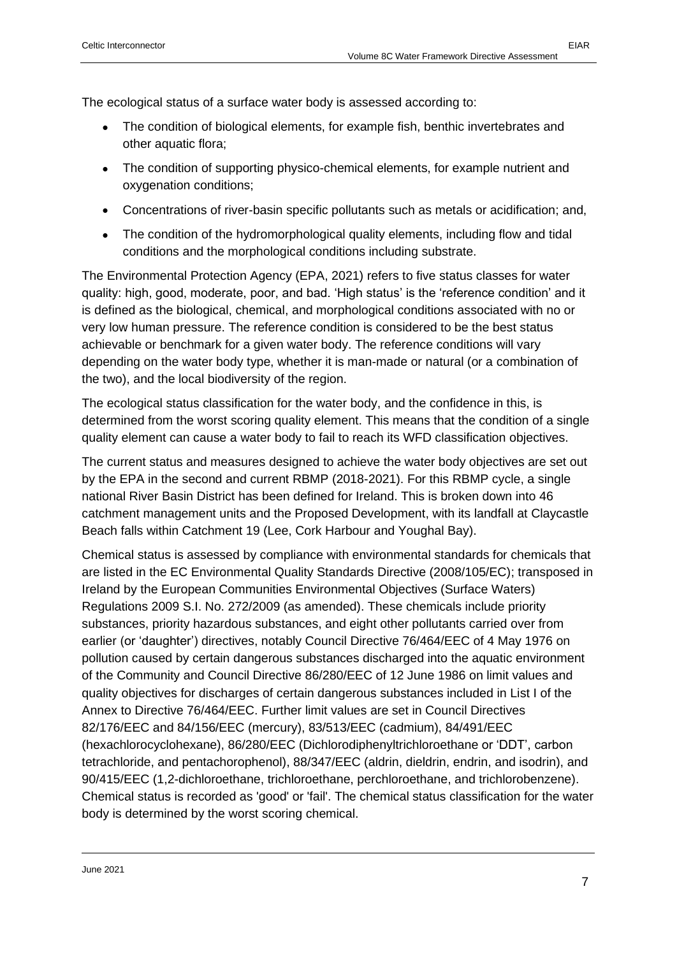The ecological status of a surface water body is assessed according to:

- The condition of biological elements, for example fish, benthic invertebrates and other aquatic flora;
- The condition of supporting physico-chemical elements, for example nutrient and oxygenation conditions;
- Concentrations of river-basin specific pollutants such as metals or acidification; and,
- The condition of the hydromorphological quality elements, including flow and tidal conditions and the morphological conditions including substrate.

The Environmental Protection Agency (EPA, 2021) refers to five status classes for water quality: high, good, moderate, poor, and bad. 'High status' is the 'reference condition' and it is defined as the biological, chemical, and morphological conditions associated with no or very low human pressure. The reference condition is considered to be the best status achievable or benchmark for a given water body. The reference conditions will vary depending on the water body type, whether it is man-made or natural (or a combination of the two), and the local biodiversity of the region.

The ecological status classification for the water body, and the confidence in this, is determined from the worst scoring quality element. This means that the condition of a single quality element can cause a water body to fail to reach its WFD classification objectives.

The current status and measures designed to achieve the water body objectives are set out by the EPA in the second and current RBMP (2018-2021). For this RBMP cycle, a single national River Basin District has been defined for Ireland. This is broken down into 46 catchment management units and the Proposed Development, with its landfall at Claycastle Beach falls within Catchment 19 (Lee, Cork Harbour and Youghal Bay).

Chemical status is assessed by compliance with environmental standards for chemicals that are listed in the EC Environmental Quality Standards Directive (2008/105/EC); transposed in Ireland by the European Communities Environmental Objectives (Surface Waters) Regulations 2009 S.I. No. 272/2009 (as amended). These chemicals include priority substances, priority hazardous substances, and eight other pollutants carried over from earlier (or 'daughter') directives, notably Council Directive 76/464/EEC of 4 May 1976 on pollution caused by certain dangerous substances discharged into the aquatic environment of the Community and Council Directive 86/280/EEC of 12 June 1986 on limit values and quality objectives for discharges of certain dangerous substances included in List I of the Annex to Directive 76/464/EEC. Further limit values are set in Council Directives 82/176/EEC and 84/156/EEC (mercury), 83/513/EEC (cadmium), 84/491/EEC (hexachlorocyclohexane), 86/280/EEC (Dichlorodiphenyltrichloroethane or 'DDT', carbon tetrachloride, and pentachorophenol), 88/347/EEC (aldrin, dieldrin, endrin, and isodrin), and 90/415/EEC (1,2-dichloroethane, trichloroethane, perchloroethane, and trichlorobenzene). Chemical status is recorded as 'good' or 'fail'. The chemical status classification for the water body is determined by the worst scoring chemical.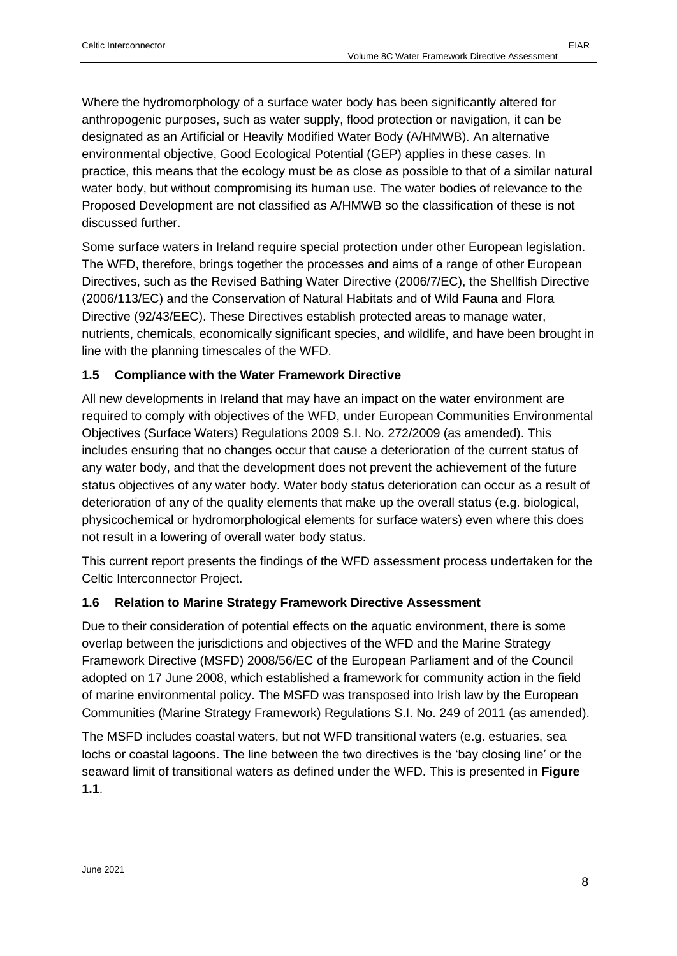Where the hydromorphology of a surface water body has been significantly altered for anthropogenic purposes, such as water supply, flood protection or navigation, it can be designated as an Artificial or Heavily Modified Water Body (A/HMWB). An alternative environmental objective, Good Ecological Potential (GEP) applies in these cases. In practice, this means that the ecology must be as close as possible to that of a similar natural water body, but without compromising its human use. The water bodies of relevance to the Proposed Development are not classified as A/HMWB so the classification of these is not discussed further.

Some surface waters in Ireland require special protection under other European legislation. The WFD, therefore, brings together the processes and aims of a range of other European Directives, such as the Revised Bathing Water Directive (2006/7/EC), the Shellfish Directive (2006/113/EC) and the Conservation of Natural Habitats and of Wild Fauna and Flora Directive (92/43/EEC). These Directives establish protected areas to manage water, nutrients, chemicals, economically significant species, and wildlife, and have been brought in line with the planning timescales of the WFD.

#### <span id="page-7-0"></span>**1.5 Compliance with the Water Framework Directive**

All new developments in Ireland that may have an impact on the water environment are required to comply with objectives of the WFD, under European Communities Environmental Objectives (Surface Waters) Regulations 2009 S.I. No. 272/2009 (as amended). This includes ensuring that no changes occur that cause a deterioration of the current status of any water body, and that the development does not prevent the achievement of the future status objectives of any water body. Water body status deterioration can occur as a result of deterioration of any of the quality elements that make up the overall status (e.g. biological, physicochemical or hydromorphological elements for surface waters) even where this does not result in a lowering of overall water body status.

This current report presents the findings of the WFD assessment process undertaken for the Celtic Interconnector Project.

#### <span id="page-7-1"></span>**1.6 Relation to Marine Strategy Framework Directive Assessment**

Due to their consideration of potential effects on the aquatic environment, there is some overlap between the jurisdictions and objectives of the WFD and the Marine Strategy Framework Directive (MSFD) 2008/56/EC of the European Parliament and of the Council adopted on 17 June 2008, which established a framework for community action in the field of marine environmental policy. The MSFD was transposed into Irish law by the European Communities (Marine Strategy Framework) Regulations S.I. No. 249 of 2011 (as amended).

The MSFD includes coastal waters, but not WFD transitional waters (e.g. estuaries, sea lochs or coastal lagoons. The line between the two directives is the 'bay closing line' or the seaward limit of transitional waters as defined under the WFD. This is presented in **[Figure](#page-8-0)  [1.1](#page-8-0)**.

June 2021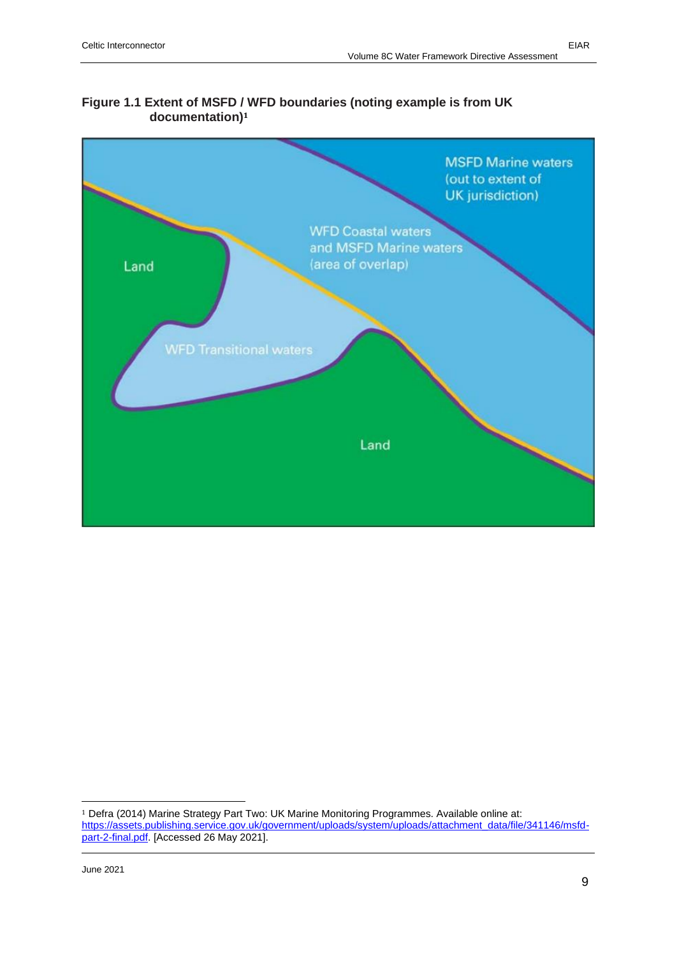# <span id="page-8-0"></span>**Figure 1.1 Extent of MSFD / WFD boundaries (noting example is from UK documentation)<sup>1</sup>**



<sup>1</sup> Defra (2014) Marine Strategy Part Two: UK Marine Monitoring Programmes. Available online at: [https://assets.publishing.service.gov.uk/government/uploads/system/uploads/attachment\\_data/file/341146/msfd](https://assets.publishing.service.gov.uk/government/uploads/system/uploads/attachment_data/file/341146/msfd-part-2-final.pdf)[part-2-final.pdf.](https://assets.publishing.service.gov.uk/government/uploads/system/uploads/attachment_data/file/341146/msfd-part-2-final.pdf) [Accessed 26 May 2021].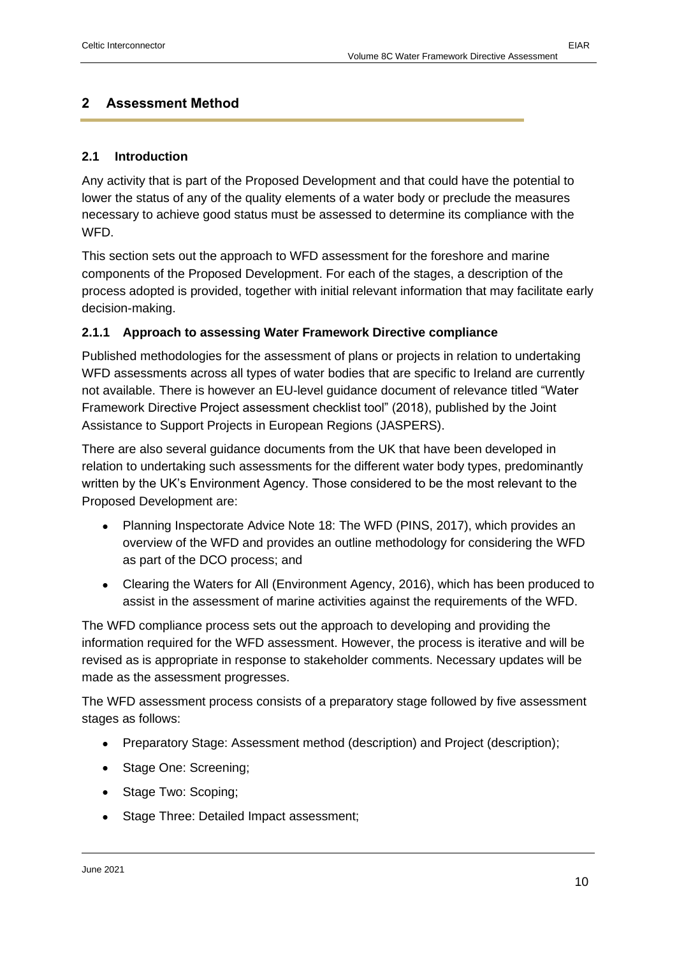#### <span id="page-9-0"></span>**2 Assessment Method**

#### <span id="page-9-1"></span>**2.1 Introduction**

Any activity that is part of the Proposed Development and that could have the potential to lower the status of any of the quality elements of a water body or preclude the measures necessary to achieve good status must be assessed to determine its compliance with the WFD.

This section sets out the approach to WFD assessment for the foreshore and marine components of the Proposed Development. For each of the stages, a description of the process adopted is provided, together with initial relevant information that may facilitate early decision-making.

#### <span id="page-9-2"></span>**2.1.1 Approach to assessing Water Framework Directive compliance**

Published methodologies for the assessment of plans or projects in relation to undertaking WFD assessments across all types of water bodies that are specific to Ireland are currently not available. There is however an EU-level guidance document of relevance titled "Water Framework Directive Project assessment checklist tool" (2018), published by the Joint Assistance to Support Projects in European Regions (JASPERS).

There are also several guidance documents from the UK that have been developed in relation to undertaking such assessments for the different water body types, predominantly written by the UK's Environment Agency. Those considered to be the most relevant to the Proposed Development are:

- Planning Inspectorate Advice Note 18: The WFD (PINS, 2017), which provides an overview of the WFD and provides an outline methodology for considering the WFD as part of the DCO process; and
- Clearing the Waters for All (Environment Agency, 2016), which has been produced to assist in the assessment of marine activities against the requirements of the WFD.

The WFD compliance process sets out the approach to developing and providing the information required for the WFD assessment. However, the process is iterative and will be revised as is appropriate in response to stakeholder comments. Necessary updates will be made as the assessment progresses.

The WFD assessment process consists of a preparatory stage followed by five assessment stages as follows:

- Preparatory Stage: Assessment method (description) and Project (description);
- Stage One: Screening;
- Stage Two: Scoping;
- Stage Three: Detailed Impact assessment;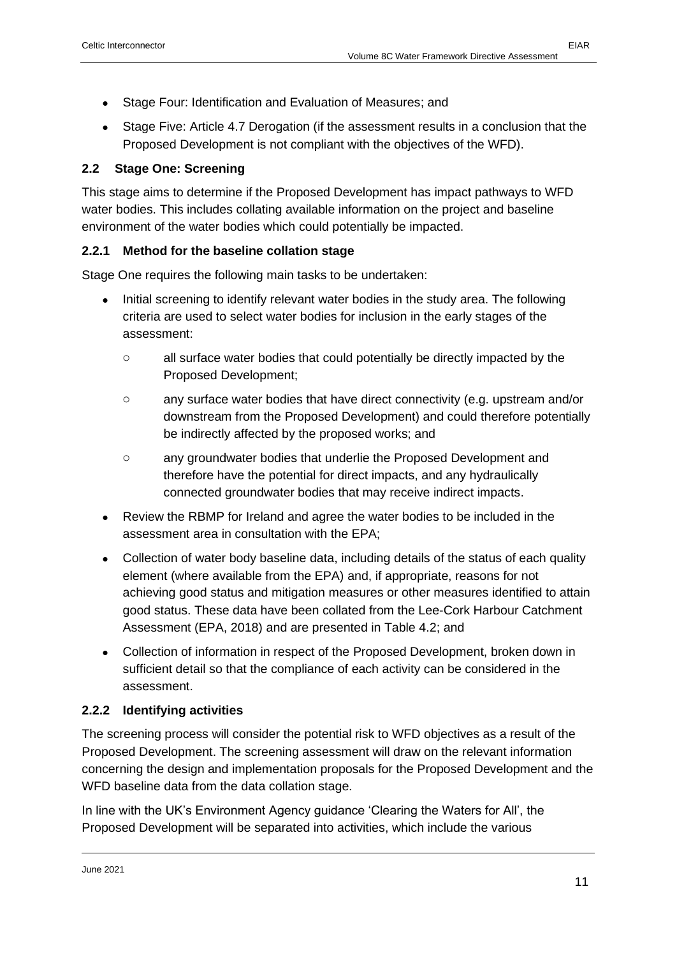- Stage Four: Identification and Evaluation of Measures; and
- Stage Five: Article 4.7 Derogation (if the assessment results in a conclusion that the Proposed Development is not compliant with the objectives of the WFD).

#### <span id="page-10-0"></span>**2.2 Stage One: Screening**

This stage aims to determine if the Proposed Development has impact pathways to WFD water bodies. This includes collating available information on the project and baseline environment of the water bodies which could potentially be impacted.

#### <span id="page-10-1"></span>**2.2.1 Method for the baseline collation stage**

Stage One requires the following main tasks to be undertaken:

- Initial screening to identify relevant water bodies in the study area. The following criteria are used to select water bodies for inclusion in the early stages of the assessment:
	- o all surface water bodies that could potentially be directly impacted by the Proposed Development;
	- o any surface water bodies that have direct connectivity (e.g. upstream and/or downstream from the Proposed Development) and could therefore potentially be indirectly affected by the proposed works; and
	- o any groundwater bodies that underlie the Proposed Development and therefore have the potential for direct impacts, and any hydraulically connected groundwater bodies that may receive indirect impacts.
- Review the RBMP for Ireland and agree the water bodies to be included in the assessment area in consultation with the EPA;
- Collection of water body baseline data, including details of the status of each quality element (where available from the EPA) and, if appropriate, reasons for not achieving good status and mitigation measures or other measures identified to attain good status. These data have been collated from the Lee-Cork Harbour Catchment Assessment (EPA, 2018) and are presented in [Table 4.2;](#page-21-0) and
- Collection of information in respect of the Proposed Development, broken down in sufficient detail so that the compliance of each activity can be considered in the assessment.

#### <span id="page-10-2"></span>**2.2.2 Identifying activities**

The screening process will consider the potential risk to WFD objectives as a result of the Proposed Development. The screening assessment will draw on the relevant information concerning the design and implementation proposals for the Proposed Development and the WFD baseline data from the data collation stage.

In line with the UK's Environment Agency guidance 'Clearing the Waters for All', the Proposed Development will be separated into activities, which include the various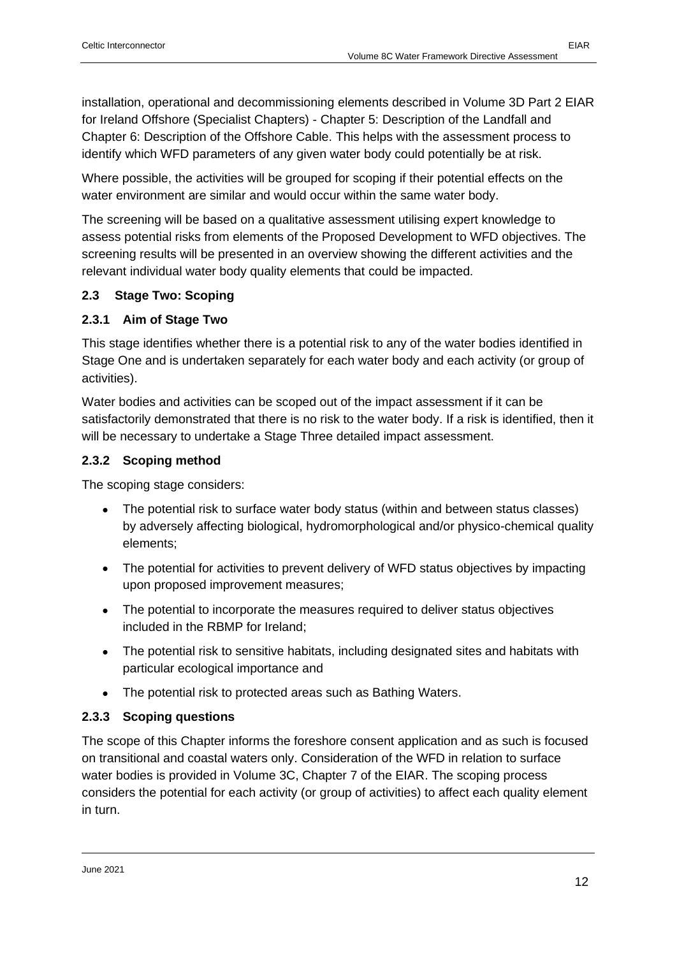installation, operational and decommissioning elements described in Volume 3D Part 2 EIAR for Ireland Offshore (Specialist Chapters) - Chapter 5: Description of the Landfall and Chapter 6: Description of the Offshore Cable. This helps with the assessment process to identify which WFD parameters of any given water body could potentially be at risk.

Where possible, the activities will be grouped for scoping if their potential effects on the water environment are similar and would occur within the same water body.

The screening will be based on a qualitative assessment utilising expert knowledge to assess potential risks from elements of the Proposed Development to WFD objectives. The screening results will be presented in an overview showing the different activities and the relevant individual water body quality elements that could be impacted.

#### <span id="page-11-0"></span>**2.3 Stage Two: Scoping**

#### <span id="page-11-1"></span>**2.3.1 Aim of Stage Two**

This stage identifies whether there is a potential risk to any of the water bodies identified in Stage One and is undertaken separately for each water body and each activity (or group of activities).

Water bodies and activities can be scoped out of the impact assessment if it can be satisfactorily demonstrated that there is no risk to the water body. If a risk is identified, then it will be necessary to undertake a Stage Three detailed impact assessment.

#### <span id="page-11-2"></span>**2.3.2 Scoping method**

The scoping stage considers:

- The potential risk to surface water body status (within and between status classes) by adversely affecting biological, hydromorphological and/or physico-chemical quality elements;
- The potential for activities to prevent delivery of WFD status objectives by impacting upon proposed improvement measures;
- The potential to incorporate the measures required to deliver status objectives included in the RBMP for Ireland;
- The potential risk to sensitive habitats, including designated sites and habitats with particular ecological importance and
- The potential risk to protected areas such as Bathing Waters.

#### <span id="page-11-3"></span>**2.3.3 Scoping questions**

The scope of this Chapter informs the foreshore consent application and as such is focused on transitional and coastal waters only. Consideration of the WFD in relation to surface water bodies is provided in Volume 3C, Chapter 7 of the EIAR. The scoping process considers the potential for each activity (or group of activities) to affect each quality element in turn.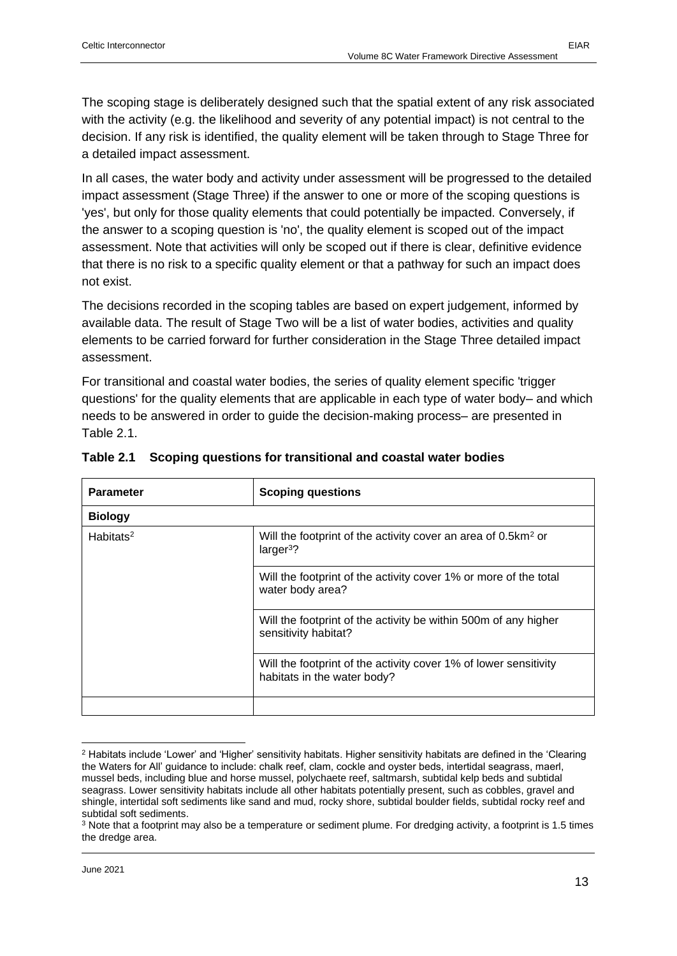The scoping stage is deliberately designed such that the spatial extent of any risk associated with the activity (e.g. the likelihood and severity of any potential impact) is not central to the decision. If any risk is identified, the quality element will be taken through to Stage Three for a detailed impact assessment.

In all cases, the water body and activity under assessment will be progressed to the detailed impact assessment (Stage Three) if the answer to one or more of the scoping questions is 'yes', but only for those quality elements that could potentially be impacted. Conversely, if the answer to a scoping question is 'no', the quality element is scoped out of the impact assessment. Note that activities will only be scoped out if there is clear, definitive evidence that there is no risk to a specific quality element or that a pathway for such an impact does not exist.

The decisions recorded in the scoping tables are based on expert judgement, informed by available data. The result of Stage Two will be a list of water bodies, activities and quality elements to be carried forward for further consideration in the Stage Three detailed impact assessment.

For transitional and coastal water bodies, the series of quality element specific 'trigger questions' for the quality elements that are applicable in each type of water body– and which needs to be answered in order to guide the decision-making process– are presented in [Table 2.1.](#page-12-0)

| <b>Parameter</b>      | <b>Scoping questions</b>                                                                        |  |  |
|-----------------------|-------------------------------------------------------------------------------------------------|--|--|
| <b>Biology</b>        |                                                                                                 |  |  |
| Habitats <sup>2</sup> | Will the footprint of the activity cover an area of 0.5km <sup>2</sup> or<br>$larger3$ ?        |  |  |
|                       | Will the footprint of the activity cover 1% or more of the total<br>water body area?            |  |  |
|                       | Will the footprint of the activity be within 500m of any higher<br>sensitivity habitat?         |  |  |
|                       | Will the footprint of the activity cover 1% of lower sensitivity<br>habitats in the water body? |  |  |
|                       |                                                                                                 |  |  |

#### <span id="page-12-0"></span>**Table 2.1 Scoping questions for transitional and coastal water bodies**

<sup>2</sup> Habitats include 'Lower' and 'Higher' sensitivity habitats. Higher sensitivity habitats are defined in the 'Clearing the Waters for All' guidance to include: chalk reef, clam, cockle and oyster beds, intertidal seagrass, maerl, mussel beds, including blue and horse mussel, polychaete reef, saltmarsh, subtidal kelp beds and subtidal seagrass. Lower sensitivity habitats include all other habitats potentially present, such as cobbles, gravel and shingle, intertidal soft sediments like sand and mud, rocky shore, subtidal boulder fields, subtidal rocky reef and subtidal soft sediments.

<sup>3</sup> Note that a footprint may also be a temperature or sediment plume. For dredging activity, a footprint is 1.5 times the dredge area.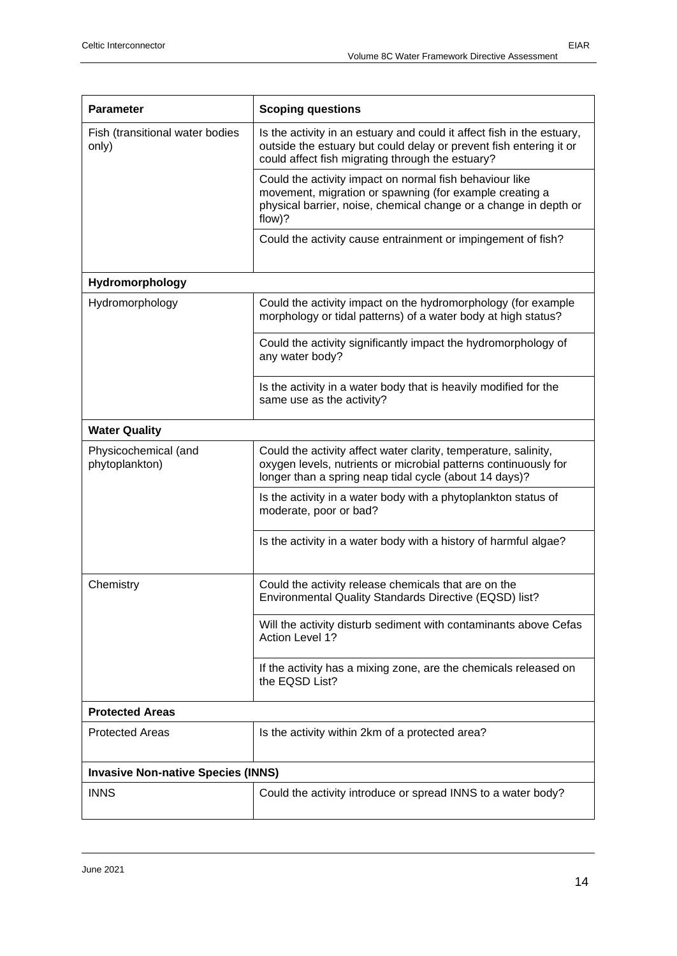| <b>Parameter</b>                          | <b>Scoping questions</b>                                                                                                                                                                         |
|-------------------------------------------|--------------------------------------------------------------------------------------------------------------------------------------------------------------------------------------------------|
| Fish (transitional water bodies<br>only)  | Is the activity in an estuary and could it affect fish in the estuary,<br>outside the estuary but could delay or prevent fish entering it or<br>could affect fish migrating through the estuary? |
|                                           | Could the activity impact on normal fish behaviour like<br>movement, migration or spawning (for example creating a<br>physical barrier, noise, chemical change or a change in depth or<br>flow)? |
|                                           | Could the activity cause entrainment or impingement of fish?                                                                                                                                     |
| Hydromorphology                           |                                                                                                                                                                                                  |
| Hydromorphology                           | Could the activity impact on the hydromorphology (for example<br>morphology or tidal patterns) of a water body at high status?                                                                   |
|                                           | Could the activity significantly impact the hydromorphology of<br>any water body?                                                                                                                |
|                                           | Is the activity in a water body that is heavily modified for the<br>same use as the activity?                                                                                                    |
| <b>Water Quality</b>                      |                                                                                                                                                                                                  |
| Physicochemical (and<br>phytoplankton)    | Could the activity affect water clarity, temperature, salinity,<br>oxygen levels, nutrients or microbial patterns continuously for<br>longer than a spring neap tidal cycle (about 14 days)?     |
|                                           | Is the activity in a water body with a phytoplankton status of<br>moderate, poor or bad?                                                                                                         |
|                                           | Is the activity in a water body with a history of harmful algae?                                                                                                                                 |
| Chemistry                                 | Could the activity release chemicals that are on the<br>Environmental Quality Standards Directive (EQSD) list?                                                                                   |
|                                           | Will the activity disturb sediment with contaminants above Cefas<br><b>Action Level 1?</b>                                                                                                       |
|                                           | If the activity has a mixing zone, are the chemicals released on<br>the EQSD List?                                                                                                               |
| <b>Protected Areas</b>                    |                                                                                                                                                                                                  |
| <b>Protected Areas</b>                    | Is the activity within 2km of a protected area?                                                                                                                                                  |
| <b>Invasive Non-native Species (INNS)</b> |                                                                                                                                                                                                  |
| <b>INNS</b>                               | Could the activity introduce or spread INNS to a water body?                                                                                                                                     |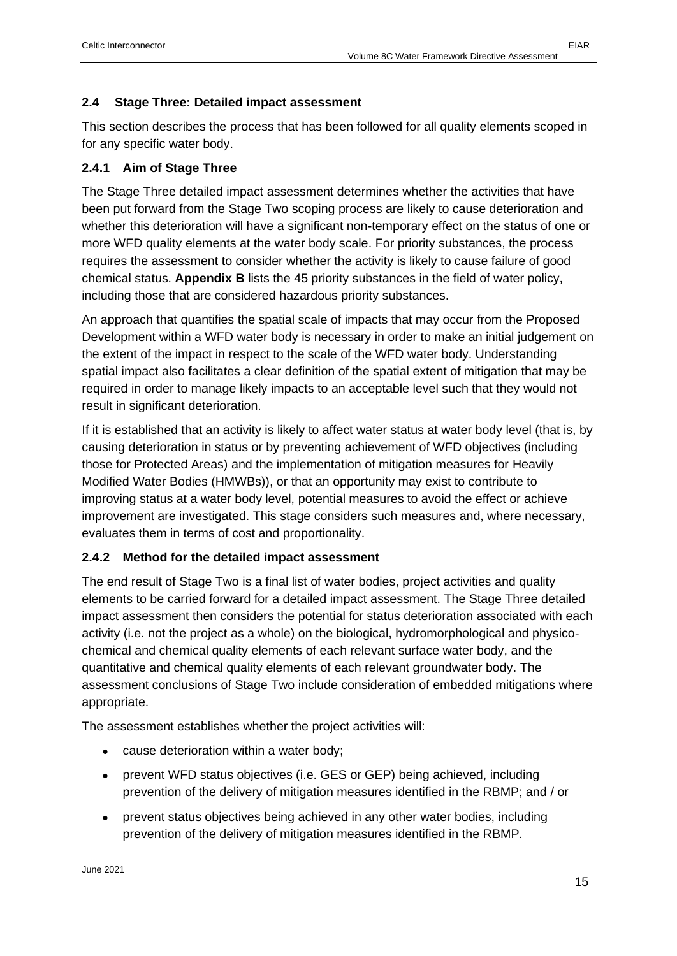<span id="page-14-0"></span>This section describes the process that has been followed for all quality elements scoped in for any specific water body.

#### <span id="page-14-1"></span>**2.4.1 Aim of Stage Three**

The Stage Three detailed impact assessment determines whether the activities that have been put forward from the Stage Two scoping process are likely to cause deterioration and whether this deterioration will have a significant non-temporary effect on the status of one or more WFD quality elements at the water body scale. For priority substances, the process requires the assessment to consider whether the activity is likely to cause failure of good chemical status. **Appendix B** lists the 45 priority substances in the field of water policy, including those that are considered hazardous priority substances.

An approach that quantifies the spatial scale of impacts that may occur from the Proposed Development within a WFD water body is necessary in order to make an initial judgement on the extent of the impact in respect to the scale of the WFD water body. Understanding spatial impact also facilitates a clear definition of the spatial extent of mitigation that may be required in order to manage likely impacts to an acceptable level such that they would not result in significant deterioration.

If it is established that an activity is likely to affect water status at water body level (that is, by causing deterioration in status or by preventing achievement of WFD objectives (including those for Protected Areas) and the implementation of mitigation measures for Heavily Modified Water Bodies (HMWBs)), or that an opportunity may exist to contribute to improving status at a water body level, potential measures to avoid the effect or achieve improvement are investigated. This stage considers such measures and, where necessary, evaluates them in terms of cost and proportionality.

#### <span id="page-14-2"></span>**2.4.2 Method for the detailed impact assessment**

The end result of Stage Two is a final list of water bodies, project activities and quality elements to be carried forward for a detailed impact assessment. The Stage Three detailed impact assessment then considers the potential for status deterioration associated with each activity (i.e. not the project as a whole) on the biological, hydromorphological and physicochemical and chemical quality elements of each relevant surface water body, and the quantitative and chemical quality elements of each relevant groundwater body. The assessment conclusions of Stage Two include consideration of embedded mitigations where appropriate.

The assessment establishes whether the project activities will:

- cause deterioration within a water body;
- prevent WFD status objectives (i.e. GES or GEP) being achieved, including prevention of the delivery of mitigation measures identified in the RBMP; and / or
- prevent status objectives being achieved in any other water bodies, including prevention of the delivery of mitigation measures identified in the RBMP.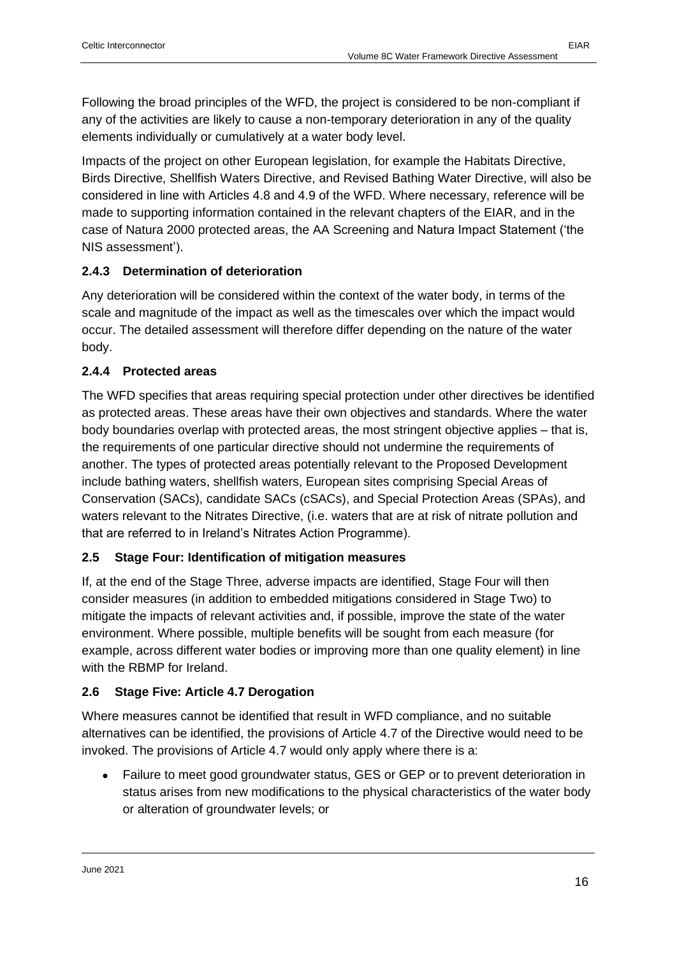Impacts of the project on other European legislation, for example the Habitats Directive, Birds Directive, Shellfish Waters Directive, and Revised Bathing Water Directive, will also be considered in line with Articles 4.8 and 4.9 of the WFD. Where necessary, reference will be made to supporting information contained in the relevant chapters of the EIAR, and in the case of Natura 2000 protected areas, the AA Screening and Natura Impact Statement ('the NIS assessment').

#### <span id="page-15-0"></span>**2.4.3 Determination of deterioration**

Any deterioration will be considered within the context of the water body, in terms of the scale and magnitude of the impact as well as the timescales over which the impact would occur. The detailed assessment will therefore differ depending on the nature of the water body.

#### <span id="page-15-1"></span>**2.4.4 Protected areas**

The WFD specifies that areas requiring special protection under other directives be identified as protected areas. These areas have their own objectives and standards. Where the water body boundaries overlap with protected areas, the most stringent objective applies – that is, the requirements of one particular directive should not undermine the requirements of another. The types of protected areas potentially relevant to the Proposed Development include bathing waters, shellfish waters, European sites comprising Special Areas of Conservation (SACs), candidate SACs (cSACs), and Special Protection Areas (SPAs), and waters relevant to the Nitrates Directive, (i.e. waters that are at risk of nitrate pollution and that are referred to in Ireland's Nitrates Action Programme).

#### <span id="page-15-2"></span>**2.5 Stage Four: Identification of mitigation measures**

If, at the end of the Stage Three, adverse impacts are identified, Stage Four will then consider measures (in addition to embedded mitigations considered in Stage Two) to mitigate the impacts of relevant activities and, if possible, improve the state of the water environment. Where possible, multiple benefits will be sought from each measure (for example, across different water bodies or improving more than one quality element) in line with the RBMP for Ireland.

#### <span id="page-15-3"></span>**2.6 Stage Five: Article 4.7 Derogation**

Where measures cannot be identified that result in WFD compliance, and no suitable alternatives can be identified, the provisions of Article 4.7 of the Directive would need to be invoked. The provisions of Article 4.7 would only apply where there is a:

• Failure to meet good groundwater status, GES or GEP or to prevent deterioration in status arises from new modifications to the physical characteristics of the water body or alteration of groundwater levels; or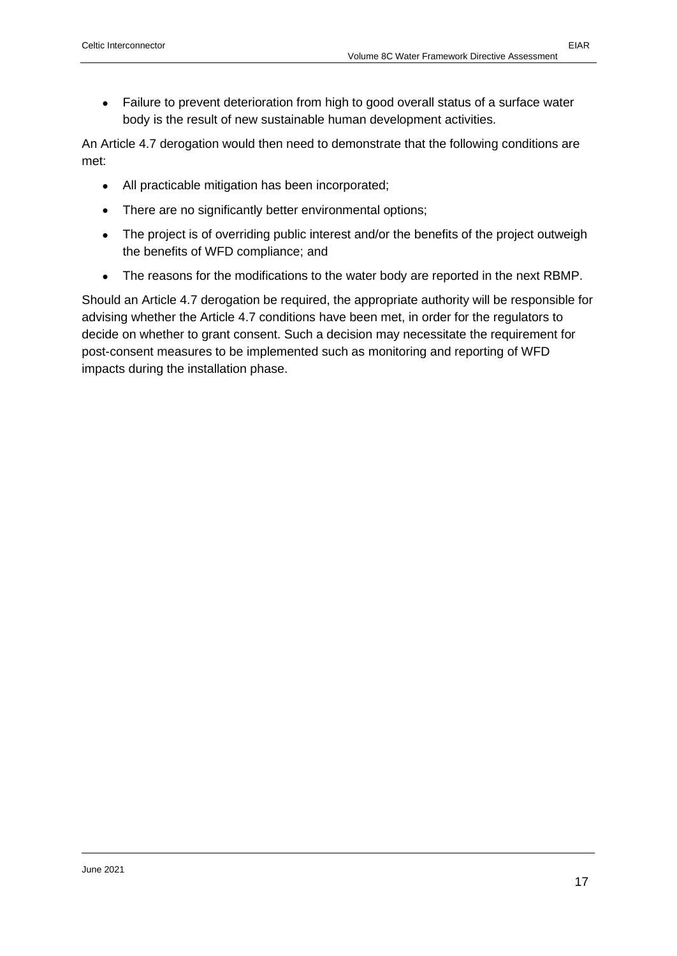• Failure to prevent deterioration from high to good overall status of a surface water body is the result of new sustainable human development activities.

An Article 4.7 derogation would then need to demonstrate that the following conditions are met:

- All practicable mitigation has been incorporated;
- There are no significantly better environmental options;
- The project is of overriding public interest and/or the benefits of the project outweigh the benefits of WFD compliance; and
- The reasons for the modifications to the water body are reported in the next RBMP.

Should an Article 4.7 derogation be required, the appropriate authority will be responsible for advising whether the Article 4.7 conditions have been met, in order for the regulators to decide on whether to grant consent. Such a decision may necessitate the requirement for post-consent measures to be implemented such as monitoring and reporting of WFD impacts during the installation phase.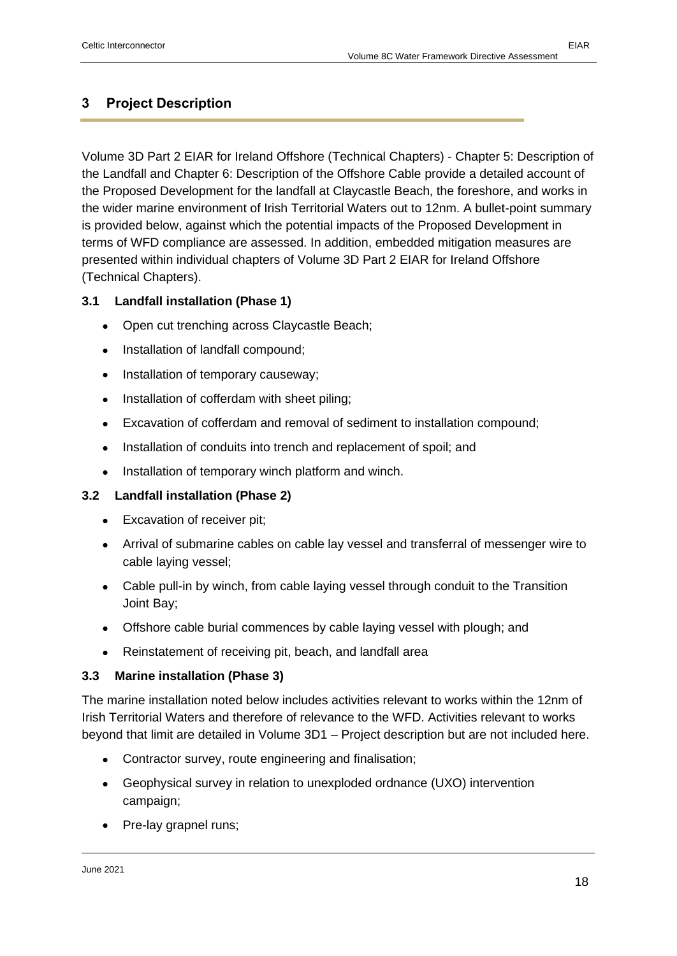### <span id="page-17-0"></span>**3 Project Description**

Volume 3D Part 2 EIAR for Ireland Offshore (Technical Chapters) - Chapter 5: Description of the Landfall and Chapter 6: Description of the Offshore Cable provide a detailed account of the Proposed Development for the landfall at Claycastle Beach, the foreshore, and works in the wider marine environment of Irish Territorial Waters out to 12nm. A bullet-point summary is provided below, against which the potential impacts of the Proposed Development in terms of WFD compliance are assessed. In addition, embedded mitigation measures are presented within individual chapters of Volume 3D Part 2 EIAR for Ireland Offshore (Technical Chapters).

#### <span id="page-17-1"></span>**3.1 Landfall installation (Phase 1)**

- Open cut trenching across Claycastle Beach;
- Installation of landfall compound;
- Installation of temporary causeway;
- Installation of cofferdam with sheet piling;
- Excavation of cofferdam and removal of sediment to installation compound;
- Installation of conduits into trench and replacement of spoil; and
- Installation of temporary winch platform and winch.

#### <span id="page-17-2"></span>**3.2 Landfall installation (Phase 2)**

- Excavation of receiver pit;
- Arrival of submarine cables on cable lay vessel and transferral of messenger wire to cable laying vessel;
- Cable pull-in by winch, from cable laying vessel through conduit to the Transition Joint Bay;
- Offshore cable burial commences by cable laying vessel with plough; and
- Reinstatement of receiving pit, beach, and landfall area

#### <span id="page-17-3"></span>**3.3 Marine installation (Phase 3)**

The marine installation noted below includes activities relevant to works within the 12nm of Irish Territorial Waters and therefore of relevance to the WFD. Activities relevant to works beyond that limit are detailed in Volume 3D1 – Project description but are not included here.

- Contractor survey, route engineering and finalisation;
- Geophysical survey in relation to unexploded ordnance (UXO) intervention campaign;
- Pre-lay grapnel runs;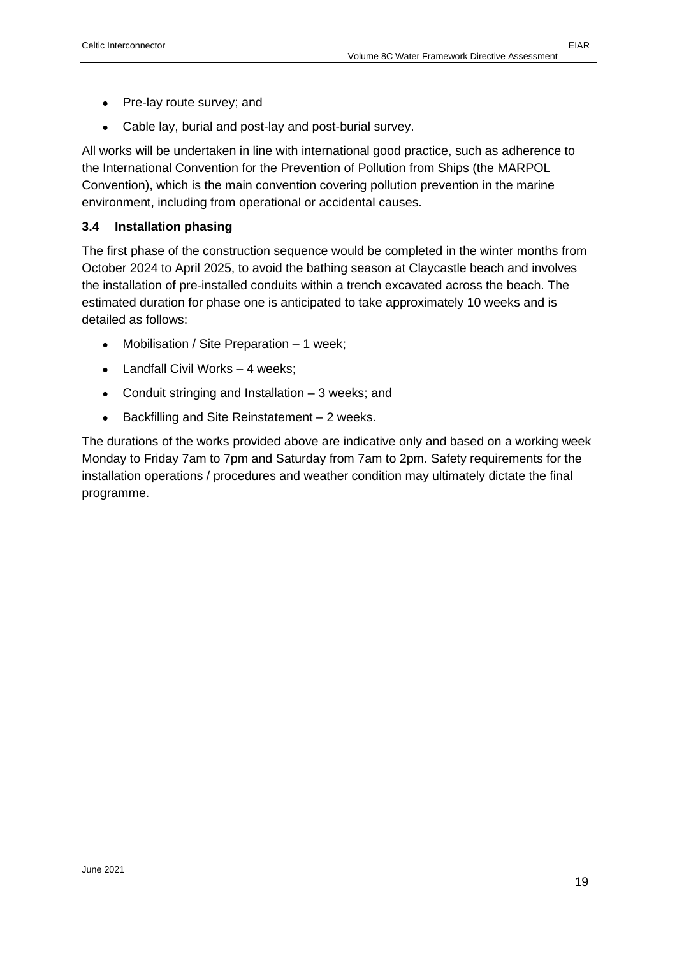- Pre-lay route survey; and
- Cable lay, burial and post-lay and post-burial survey.

All works will be undertaken in line with international good practice, such as adherence to the International Convention for the Prevention of Pollution from Ships (the MARPOL Convention), which is the main convention covering pollution prevention in the marine environment, including from operational or accidental causes.

#### <span id="page-18-0"></span>**3.4 Installation phasing**

The first phase of the construction sequence would be completed in the winter months from October 2024 to April 2025, to avoid the bathing season at Claycastle beach and involves the installation of pre-installed conduits within a trench excavated across the beach. The estimated duration for phase one is anticipated to take approximately 10 weeks and is detailed as follows:

- Mobilisation / Site Preparation 1 week;
- Landfall Civil Works 4 weeks;
- Conduit stringing and Installation 3 weeks; and
- Backfilling and Site Reinstatement 2 weeks.

The durations of the works provided above are indicative only and based on a working week Monday to Friday 7am to 7pm and Saturday from 7am to 2pm. Safety requirements for the installation operations / procedures and weather condition may ultimately dictate the final programme.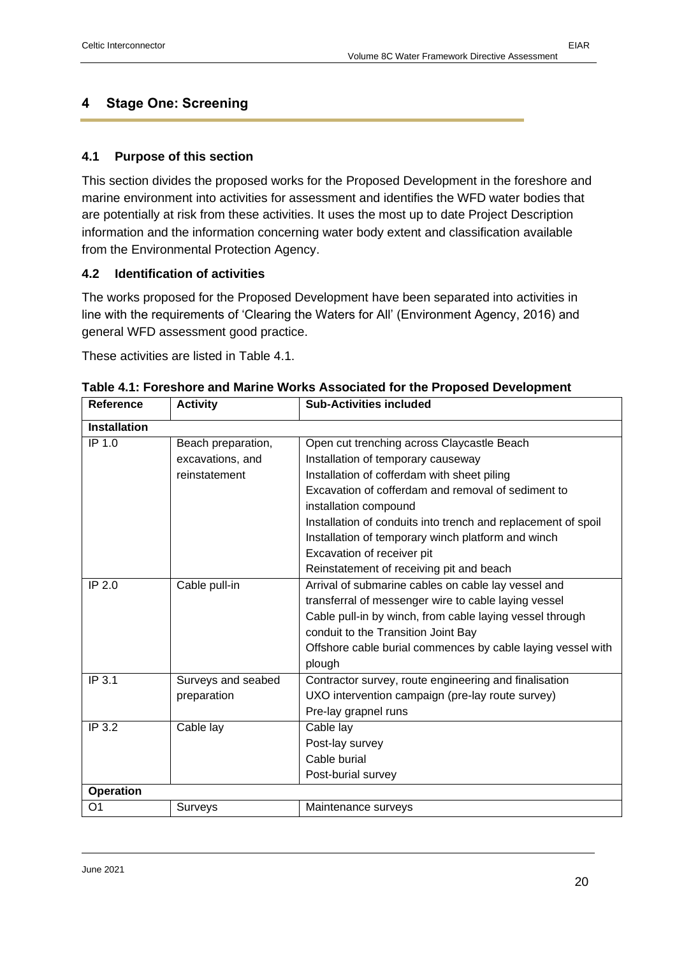#### <span id="page-19-0"></span>**4 Stage One: Screening**

#### <span id="page-19-1"></span>**4.1 Purpose of this section**

This section divides the proposed works for the Proposed Development in the foreshore and marine environment into activities for assessment and identifies the WFD water bodies that are potentially at risk from these activities. It uses the most up to date Project Description information and the information concerning water body extent and classification available from the Environmental Protection Agency.

#### <span id="page-19-2"></span>**4.2 Identification of activities**

The works proposed for the Proposed Development have been separated into activities in line with the requirements of 'Clearing the Waters for All' (Environment Agency, 2016) and general WFD assessment good practice.

These activities are listed in Table 4.1.

| Reference           | <b>Activity</b>    | <b>Sub-Activities included</b>                                |
|---------------------|--------------------|---------------------------------------------------------------|
| <b>Installation</b> |                    |                                                               |
| IP 1.0              | Beach preparation, | Open cut trenching across Claycastle Beach                    |
|                     | excavations, and   | Installation of temporary causeway                            |
|                     | reinstatement      | Installation of cofferdam with sheet piling                   |
|                     |                    | Excavation of cofferdam and removal of sediment to            |
|                     |                    | installation compound                                         |
|                     |                    | Installation of conduits into trench and replacement of spoil |
|                     |                    | Installation of temporary winch platform and winch            |
|                     |                    | Excavation of receiver pit                                    |
|                     |                    | Reinstatement of receiving pit and beach                      |
| IP 2.0              | Cable pull-in      | Arrival of submarine cables on cable lay vessel and           |
|                     |                    | transferral of messenger wire to cable laying vessel          |
|                     |                    | Cable pull-in by winch, from cable laying vessel through      |
|                     |                    | conduit to the Transition Joint Bay                           |
|                     |                    | Offshore cable burial commences by cable laying vessel with   |
|                     |                    | plough                                                        |
| IP 3.1              | Surveys and seabed | Contractor survey, route engineering and finalisation         |
|                     | preparation        | UXO intervention campaign (pre-lay route survey)              |
|                     |                    | Pre-lay grapnel runs                                          |
| IP 3.2              | Cable lay          | Cable lay                                                     |
|                     |                    | Post-lay survey                                               |
|                     |                    | Cable burial                                                  |
|                     |                    | Post-burial survey                                            |
| <b>Operation</b>    |                    |                                                               |
| O <sub>1</sub>      | Surveys            | Maintenance surveys                                           |

**Table 4.1: Foreshore and Marine Works Associated for the Proposed Development**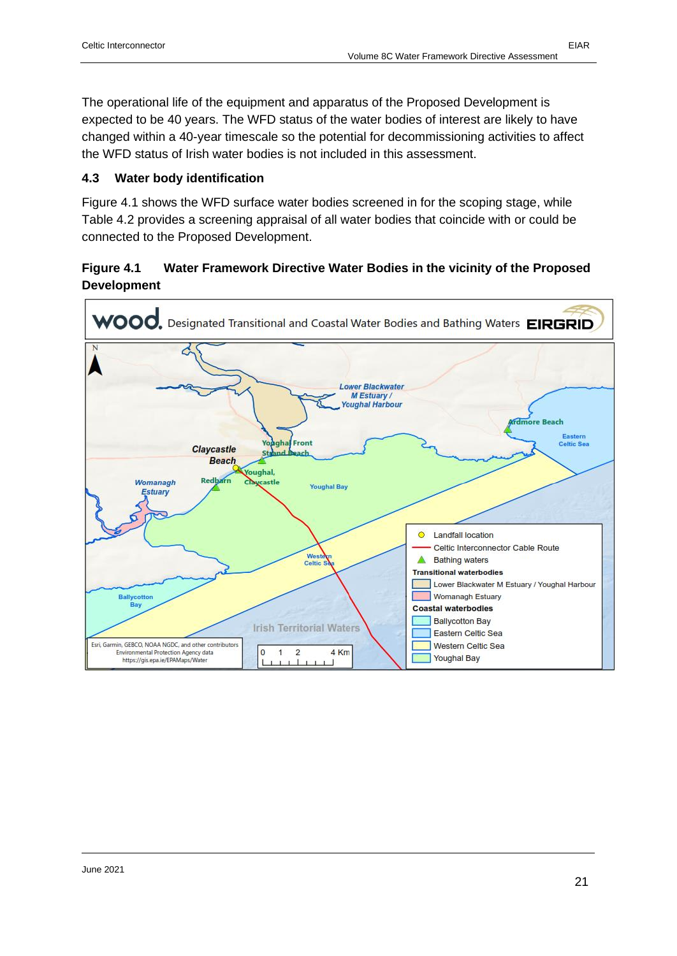The operational life of the equipment and apparatus of the Proposed Development is expected to be 40 years. The WFD status of the water bodies of interest are likely to have changed within a 40-year timescale so the potential for decommissioning activities to affect the WFD status of Irish water bodies is not included in this assessment.

#### <span id="page-20-0"></span>**4.3 Water body identification**

Figure 4.1 shows the WFD surface water bodies screened in for the scoping stage, while Table 4.2 provides a screening appraisal of all water bodies that coincide with or could be connected to the Proposed Development.

#### **Figure 4.1 Water Framework Directive Water Bodies in the vicinity of the Proposed Development**

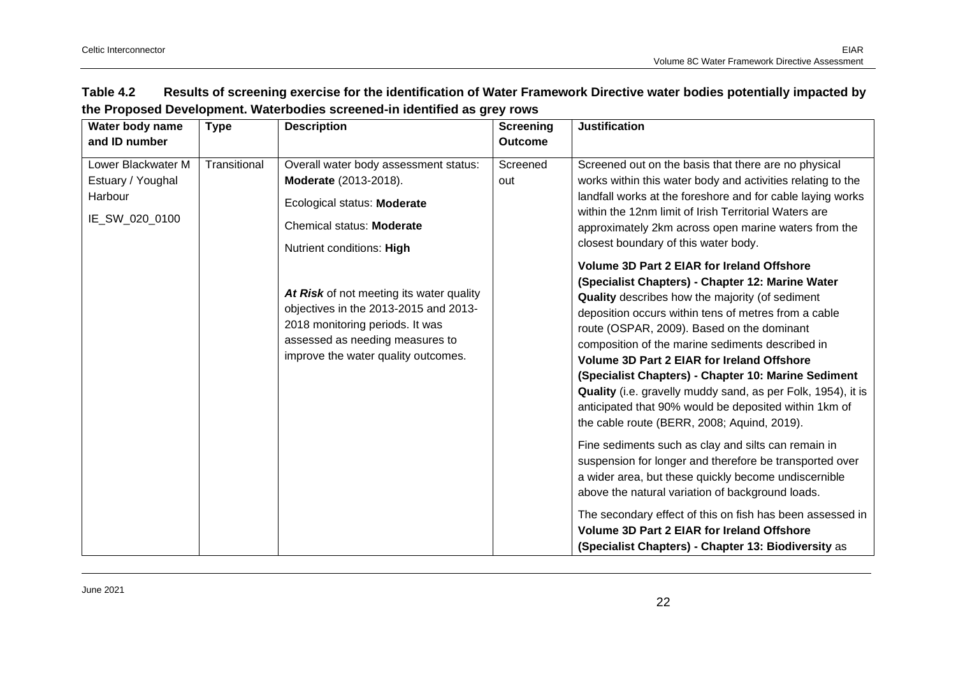<span id="page-21-0"></span>

| Water body name                                                      | <b>Type</b>  | ing i roposed Development. Watchboards soreened in Remined as grey rows<br><b>Description</b>                                                                                                                                                                                                                                                             | <b>Screening</b> | <b>Justification</b>                                                                                                                                                                                                                                                                                                                                                                                                                                                                                                                                                                                                                                                                                                                                                                                                                                                                                                                                                                                                                                                                                                                                                                                                                                                                                 |
|----------------------------------------------------------------------|--------------|-----------------------------------------------------------------------------------------------------------------------------------------------------------------------------------------------------------------------------------------------------------------------------------------------------------------------------------------------------------|------------------|------------------------------------------------------------------------------------------------------------------------------------------------------------------------------------------------------------------------------------------------------------------------------------------------------------------------------------------------------------------------------------------------------------------------------------------------------------------------------------------------------------------------------------------------------------------------------------------------------------------------------------------------------------------------------------------------------------------------------------------------------------------------------------------------------------------------------------------------------------------------------------------------------------------------------------------------------------------------------------------------------------------------------------------------------------------------------------------------------------------------------------------------------------------------------------------------------------------------------------------------------------------------------------------------------|
| and ID number                                                        |              |                                                                                                                                                                                                                                                                                                                                                           | <b>Outcome</b>   |                                                                                                                                                                                                                                                                                                                                                                                                                                                                                                                                                                                                                                                                                                                                                                                                                                                                                                                                                                                                                                                                                                                                                                                                                                                                                                      |
| Lower Blackwater M<br>Estuary / Youghal<br>Harbour<br>IE_SW_020_0100 | Transitional | Overall water body assessment status:<br>Moderate (2013-2018).<br>Ecological status: Moderate<br>Chemical status: Moderate<br>Nutrient conditions: High<br>At Risk of not meeting its water quality<br>objectives in the 2013-2015 and 2013-<br>2018 monitoring periods. It was<br>assessed as needing measures to<br>improve the water quality outcomes. | Screened<br>out  | Screened out on the basis that there are no physical<br>works within this water body and activities relating to the<br>landfall works at the foreshore and for cable laying works<br>within the 12nm limit of Irish Territorial Waters are<br>approximately 2km across open marine waters from the<br>closest boundary of this water body.<br><b>Volume 3D Part 2 EIAR for Ireland Offshore</b><br>(Specialist Chapters) - Chapter 12: Marine Water<br>Quality describes how the majority (of sediment<br>deposition occurs within tens of metres from a cable<br>route (OSPAR, 2009). Based on the dominant<br>composition of the marine sediments described in<br><b>Volume 3D Part 2 EIAR for Ireland Offshore</b><br>(Specialist Chapters) - Chapter 10: Marine Sediment<br>Quality (i.e. gravelly muddy sand, as per Folk, 1954), it is<br>anticipated that 90% would be deposited within 1km of<br>the cable route (BERR, 2008; Aquind, 2019).<br>Fine sediments such as clay and silts can remain in<br>suspension for longer and therefore be transported over<br>a wider area, but these quickly become undiscernible<br>above the natural variation of background loads.<br>The secondary effect of this on fish has been assessed in<br><b>Volume 3D Part 2 EIAR for Ireland Offshore</b> |
|                                                                      |              |                                                                                                                                                                                                                                                                                                                                                           |                  | (Specialist Chapters) - Chapter 13: Biodiversity as                                                                                                                                                                                                                                                                                                                                                                                                                                                                                                                                                                                                                                                                                                                                                                                                                                                                                                                                                                                                                                                                                                                                                                                                                                                  |

#### **Table 4.2 Results of screening exercise for the identification of Water Framework Directive water bodies potentially impacted by the Proposed Development. Waterbodies screened-in identified as grey rows**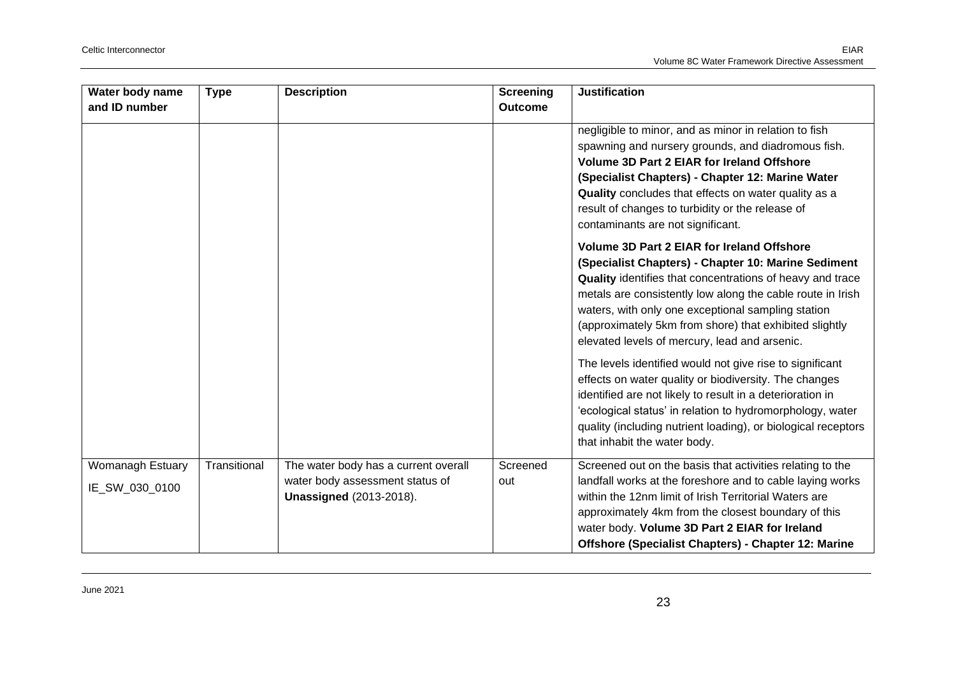| Water body name                    | <b>Type</b>  | <b>Description</b>                                                                                        | <b>Screening</b> | <b>Justification</b>                                                                                                                                                                                                                                                                                                                                                                                 |
|------------------------------------|--------------|-----------------------------------------------------------------------------------------------------------|------------------|------------------------------------------------------------------------------------------------------------------------------------------------------------------------------------------------------------------------------------------------------------------------------------------------------------------------------------------------------------------------------------------------------|
| and ID number                      |              |                                                                                                           | <b>Outcome</b>   |                                                                                                                                                                                                                                                                                                                                                                                                      |
|                                    |              |                                                                                                           |                  | negligible to minor, and as minor in relation to fish<br>spawning and nursery grounds, and diadromous fish.<br><b>Volume 3D Part 2 EIAR for Ireland Offshore</b><br>(Specialist Chapters) - Chapter 12: Marine Water<br>Quality concludes that effects on water quality as a<br>result of changes to turbidity or the release of<br>contaminants are not significant.                                |
|                                    |              |                                                                                                           |                  | <b>Volume 3D Part 2 EIAR for Ireland Offshore</b><br>(Specialist Chapters) - Chapter 10: Marine Sediment<br>Quality identifies that concentrations of heavy and trace<br>metals are consistently low along the cable route in Irish<br>waters, with only one exceptional sampling station<br>(approximately 5km from shore) that exhibited slightly<br>elevated levels of mercury, lead and arsenic. |
|                                    |              |                                                                                                           |                  | The levels identified would not give rise to significant<br>effects on water quality or biodiversity. The changes<br>identified are not likely to result in a deterioration in<br>'ecological status' in relation to hydromorphology, water<br>quality (including nutrient loading), or biological receptors<br>that inhabit the water body.                                                         |
| Womanagh Estuary<br>IE_SW_030_0100 | Transitional | The water body has a current overall<br>water body assessment status of<br><b>Unassigned (2013-2018).</b> | Screened<br>out  | Screened out on the basis that activities relating to the<br>landfall works at the foreshore and to cable laying works<br>within the 12nm limit of Irish Territorial Waters are<br>approximately 4km from the closest boundary of this<br>water body. Volume 3D Part 2 EIAR for Ireland<br>Offshore (Specialist Chapters) - Chapter 12: Marine                                                       |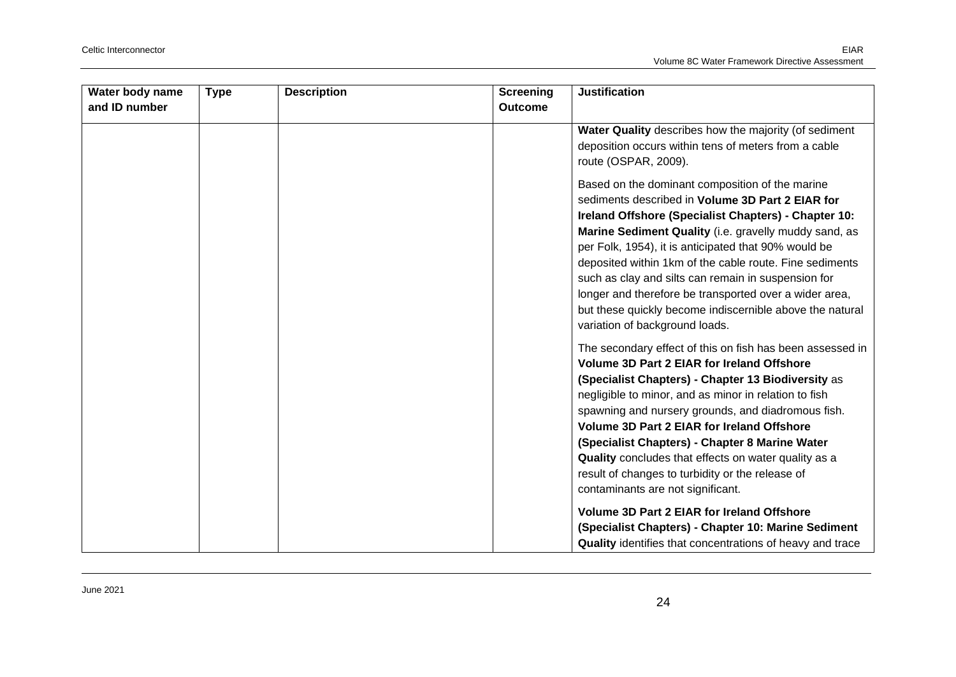| Water body name | <b>Type</b> | <b>Description</b> | <b>Screening</b> | <b>Justification</b>                                                                                                                                                                                                                                                                                                                                                                                                                                                                                                                                   |
|-----------------|-------------|--------------------|------------------|--------------------------------------------------------------------------------------------------------------------------------------------------------------------------------------------------------------------------------------------------------------------------------------------------------------------------------------------------------------------------------------------------------------------------------------------------------------------------------------------------------------------------------------------------------|
| and ID number   |             |                    | <b>Outcome</b>   |                                                                                                                                                                                                                                                                                                                                                                                                                                                                                                                                                        |
|                 |             |                    |                  | Water Quality describes how the majority (of sediment<br>deposition occurs within tens of meters from a cable<br>route (OSPAR, 2009).                                                                                                                                                                                                                                                                                                                                                                                                                  |
|                 |             |                    |                  | Based on the dominant composition of the marine<br>sediments described in Volume 3D Part 2 EIAR for<br>Ireland Offshore (Specialist Chapters) - Chapter 10:<br>Marine Sediment Quality (i.e. gravelly muddy sand, as<br>per Folk, 1954), it is anticipated that 90% would be<br>deposited within 1km of the cable route. Fine sediments<br>such as clay and silts can remain in suspension for<br>longer and therefore be transported over a wider area,<br>but these quickly become indiscernible above the natural<br>variation of background loads. |
|                 |             |                    |                  | The secondary effect of this on fish has been assessed in<br><b>Volume 3D Part 2 EIAR for Ireland Offshore</b><br>(Specialist Chapters) - Chapter 13 Biodiversity as<br>negligible to minor, and as minor in relation to fish<br>spawning and nursery grounds, and diadromous fish.<br>Volume 3D Part 2 EIAR for Ireland Offshore<br>(Specialist Chapters) - Chapter 8 Marine Water<br>Quality concludes that effects on water quality as a<br>result of changes to turbidity or the release of<br>contaminants are not significant.                   |
|                 |             |                    |                  | Volume 3D Part 2 EIAR for Ireland Offshore<br>(Specialist Chapters) - Chapter 10: Marine Sediment<br>Quality identifies that concentrations of heavy and trace                                                                                                                                                                                                                                                                                                                                                                                         |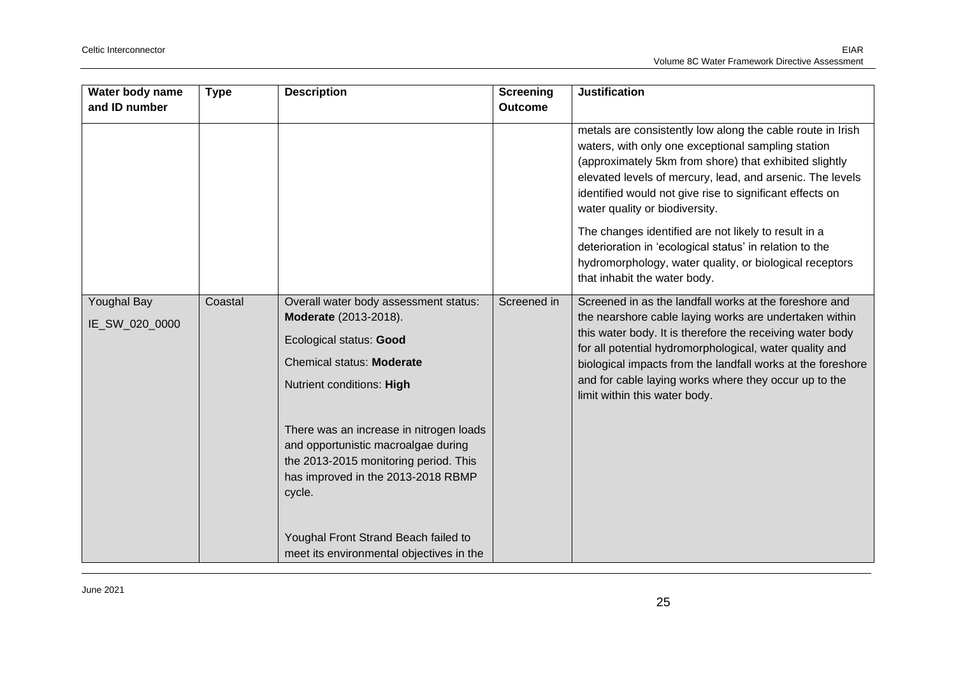| Water body name<br>and ID number     | <b>Type</b> | <b>Description</b>                                                                                                                                                                                                                                                                                                             | <b>Screening</b><br><b>Outcome</b> | <b>Justification</b>                                                                                                                                                                                                                                                                                                                                                                                                                                                                                                                                |
|--------------------------------------|-------------|--------------------------------------------------------------------------------------------------------------------------------------------------------------------------------------------------------------------------------------------------------------------------------------------------------------------------------|------------------------------------|-----------------------------------------------------------------------------------------------------------------------------------------------------------------------------------------------------------------------------------------------------------------------------------------------------------------------------------------------------------------------------------------------------------------------------------------------------------------------------------------------------------------------------------------------------|
|                                      |             |                                                                                                                                                                                                                                                                                                                                |                                    | metals are consistently low along the cable route in Irish<br>waters, with only one exceptional sampling station<br>(approximately 5km from shore) that exhibited slightly<br>elevated levels of mercury, lead, and arsenic. The levels<br>identified would not give rise to significant effects on<br>water quality or biodiversity.<br>The changes identified are not likely to result in a<br>deterioration in 'ecological status' in relation to the<br>hydromorphology, water quality, or biological receptors<br>that inhabit the water body. |
| <b>Youghal Bay</b><br>IE_SW_020_0000 | Coastal     | Overall water body assessment status:<br>Moderate (2013-2018).<br>Ecological status: Good<br>Chemical status: Moderate<br>Nutrient conditions: High<br>There was an increase in nitrogen loads<br>and opportunistic macroalgae during<br>the 2013-2015 monitoring period. This<br>has improved in the 2013-2018 RBMP<br>cycle. | Screened in                        | Screened in as the landfall works at the foreshore and<br>the nearshore cable laying works are undertaken within<br>this water body. It is therefore the receiving water body<br>for all potential hydromorphological, water quality and<br>biological impacts from the landfall works at the foreshore<br>and for cable laying works where they occur up to the<br>limit within this water body.                                                                                                                                                   |
|                                      |             | Youghal Front Strand Beach failed to<br>meet its environmental objectives in the                                                                                                                                                                                                                                               |                                    |                                                                                                                                                                                                                                                                                                                                                                                                                                                                                                                                                     |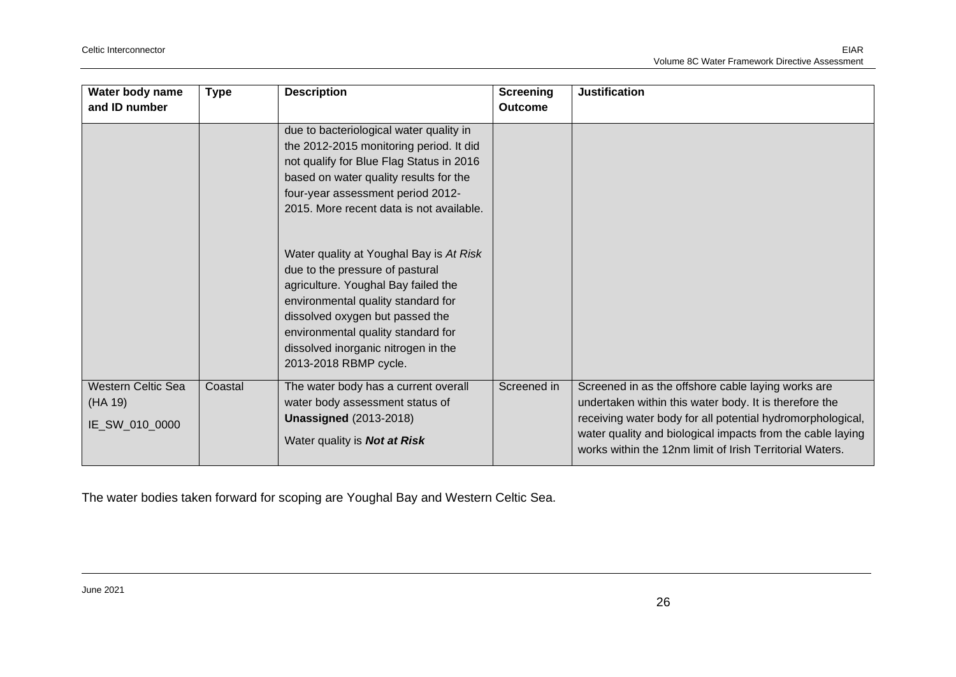| Water body name<br>and ID number                       | <b>Type</b> | <b>Description</b>                                                                                                                                                                                                                                                                                                                                                                                                                                                                                                                                            | <b>Screening</b><br><b>Outcome</b> | <b>Justification</b>                                                                                                                                                                                                                                                                                 |
|--------------------------------------------------------|-------------|---------------------------------------------------------------------------------------------------------------------------------------------------------------------------------------------------------------------------------------------------------------------------------------------------------------------------------------------------------------------------------------------------------------------------------------------------------------------------------------------------------------------------------------------------------------|------------------------------------|------------------------------------------------------------------------------------------------------------------------------------------------------------------------------------------------------------------------------------------------------------------------------------------------------|
|                                                        |             | due to bacteriological water quality in<br>the 2012-2015 monitoring period. It did<br>not qualify for Blue Flag Status in 2016<br>based on water quality results for the<br>four-year assessment period 2012-<br>2015. More recent data is not available.<br>Water quality at Youghal Bay is At Risk<br>due to the pressure of pastural<br>agriculture. Youghal Bay failed the<br>environmental quality standard for<br>dissolved oxygen but passed the<br>environmental quality standard for<br>dissolved inorganic nitrogen in the<br>2013-2018 RBMP cycle. |                                    |                                                                                                                                                                                                                                                                                                      |
| <b>Western Celtic Sea</b><br>(HA 19)<br>IE_SW_010_0000 | Coastal     | The water body has a current overall<br>water body assessment status of<br><b>Unassigned (2013-2018)</b><br>Water quality is <b>Not at Risk</b>                                                                                                                                                                                                                                                                                                                                                                                                               | Screened in                        | Screened in as the offshore cable laying works are<br>undertaken within this water body. It is therefore the<br>receiving water body for all potential hydromorphological,<br>water quality and biological impacts from the cable laying<br>works within the 12nm limit of Irish Territorial Waters. |

The water bodies taken forward for scoping are Youghal Bay and Western Celtic Sea.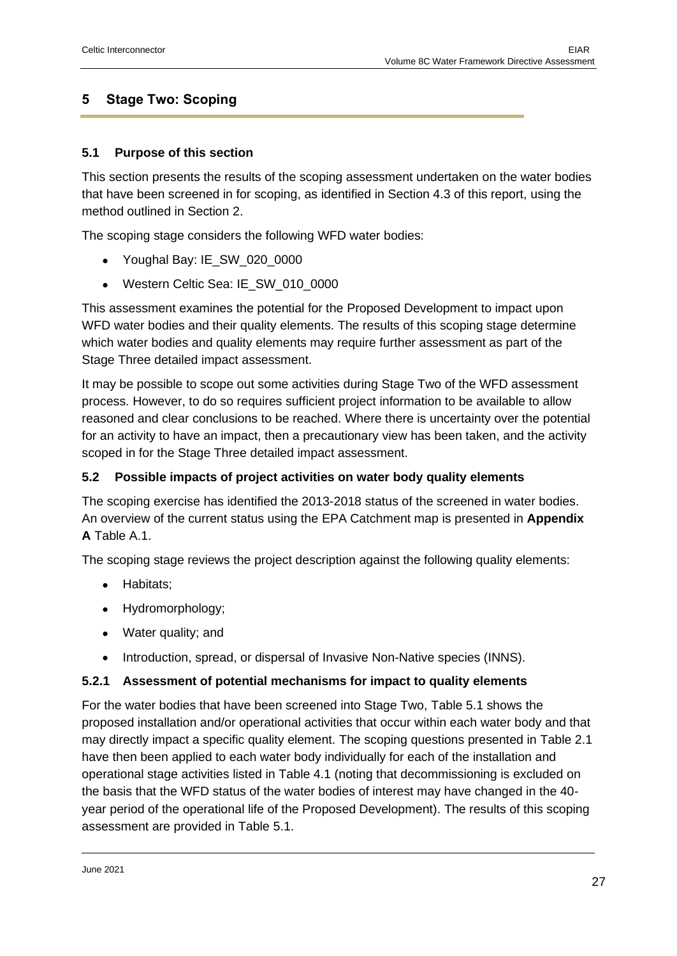## <span id="page-26-0"></span>**5 Stage Two: Scoping**

#### <span id="page-26-1"></span>**5.1 Purpose of this section**

This section presents the results of the scoping assessment undertaken on the water bodies that have been screened in for scoping, as identified in Section 4.3 of this report, using the method outlined in Section 2.

The scoping stage considers the following WFD water bodies:

- Youghal Bay: IE\_SW\_020\_0000
- Western Celtic Sea: IE\_SW\_010\_0000

This assessment examines the potential for the Proposed Development to impact upon WFD water bodies and their quality elements. The results of this scoping stage determine which water bodies and quality elements may require further assessment as part of the Stage Three detailed impact assessment.

It may be possible to scope out some activities during Stage Two of the WFD assessment process. However, to do so requires sufficient project information to be available to allow reasoned and clear conclusions to be reached. Where there is uncertainty over the potential for an activity to have an impact, then a precautionary view has been taken, and the activity scoped in for the Stage Three detailed impact assessment.

#### <span id="page-26-2"></span>**5.2 Possible impacts of project activities on water body quality elements**

The scoping exercise has identified the 2013-2018 status of the screened in water bodies. An overview of the current status using the EPA Catchment map is presented in **Appendix A** Table A.1.

The scoping stage reviews the project description against the following quality elements:

- Habitats;
- Hydromorphology;
- Water quality; and
- Introduction, spread, or dispersal of Invasive Non-Native species (INNS).

#### <span id="page-26-3"></span>**5.2.1 Assessment of potential mechanisms for impact to quality elements**

For the water bodies that have been screened into Stage Two, Table 5.1 shows the proposed installation and/or operational activities that occur within each water body and that may directly impact a specific quality element. The scoping questions presented in Table 2.1 have then been applied to each water body individually for each of the installation and operational stage activities listed in Table 4.1 (noting that decommissioning is excluded on the basis that the WFD status of the water bodies of interest may have changed in the 40 year period of the operational life of the Proposed Development). The results of this scoping assessment are provided in Table 5.1.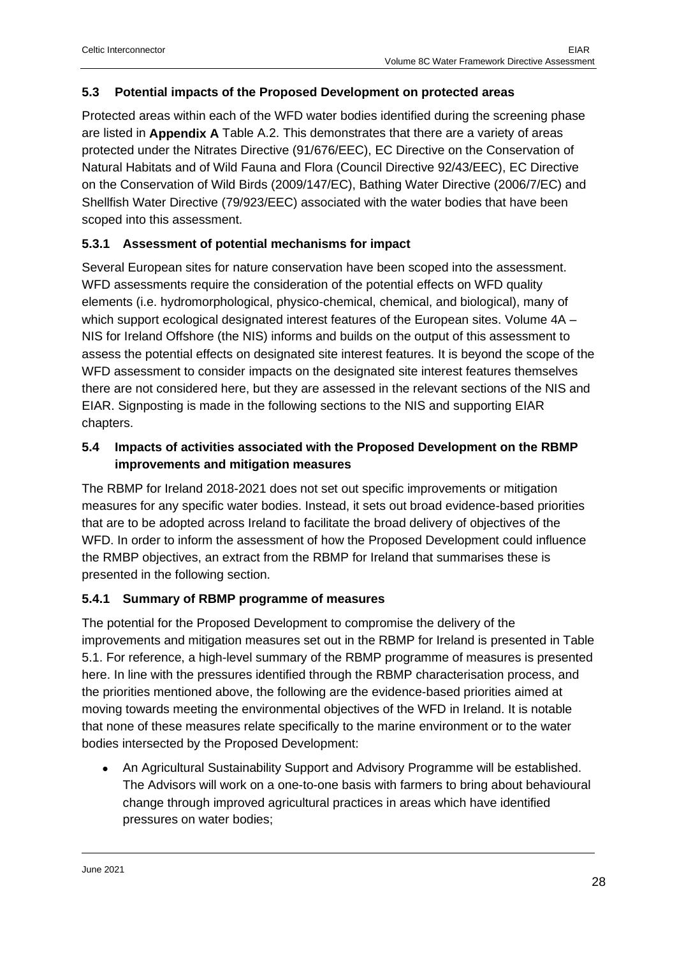#### <span id="page-27-0"></span>**5.3 Potential impacts of the Proposed Development on protected areas**

Protected areas within each of the WFD water bodies identified during the screening phase are listed in **Appendix A** Table A.2. This demonstrates that there are a variety of areas protected under the Nitrates Directive (91/676/EEC), EC Directive on the Conservation of Natural Habitats and of Wild Fauna and Flora (Council Directive 92/43/EEC), EC Directive on the Conservation of Wild Birds (2009/147/EC), Bathing Water Directive (2006/7/EC) and Shellfish Water Directive (79/923/EEC) associated with the water bodies that have been scoped into this assessment.

#### <span id="page-27-1"></span>**5.3.1 Assessment of potential mechanisms for impact**

Several European sites for nature conservation have been scoped into the assessment. WFD assessments require the consideration of the potential effects on WFD quality elements (i.e. hydromorphological, physico-chemical, chemical, and biological), many of which support ecological designated interest features of the European sites. Volume 4A -NIS for Ireland Offshore (the NIS) informs and builds on the output of this assessment to assess the potential effects on designated site interest features. It is beyond the scope of the WFD assessment to consider impacts on the designated site interest features themselves there are not considered here, but they are assessed in the relevant sections of the NIS and EIAR. Signposting is made in the following sections to the NIS and supporting EIAR chapters.

#### <span id="page-27-2"></span>**5.4 Impacts of activities associated with the Proposed Development on the RBMP improvements and mitigation measures**

The RBMP for Ireland 2018-2021 does not set out specific improvements or mitigation measures for any specific water bodies. Instead, it sets out broad evidence-based priorities that are to be adopted across Ireland to facilitate the broad delivery of objectives of the WFD. In order to inform the assessment of how the Proposed Development could influence the RMBP objectives, an extract from the RBMP for Ireland that summarises these is presented in the following section.

#### <span id="page-27-3"></span>**5.4.1 Summary of RBMP programme of measures**

The potential for the Proposed Development to compromise the delivery of the improvements and mitigation measures set out in the RBMP for Ireland is presented in Table 5.1. For reference, a high-level summary of the RBMP programme of measures is presented here. In line with the pressures identified through the RBMP characterisation process, and the priorities mentioned above, the following are the evidence-based priorities aimed at moving towards meeting the environmental objectives of the WFD in Ireland. It is notable that none of these measures relate specifically to the marine environment or to the water bodies intersected by the Proposed Development:

• An Agricultural Sustainability Support and Advisory Programme will be established. The Advisors will work on a one-to-one basis with farmers to bring about behavioural change through improved agricultural practices in areas which have identified pressures on water bodies;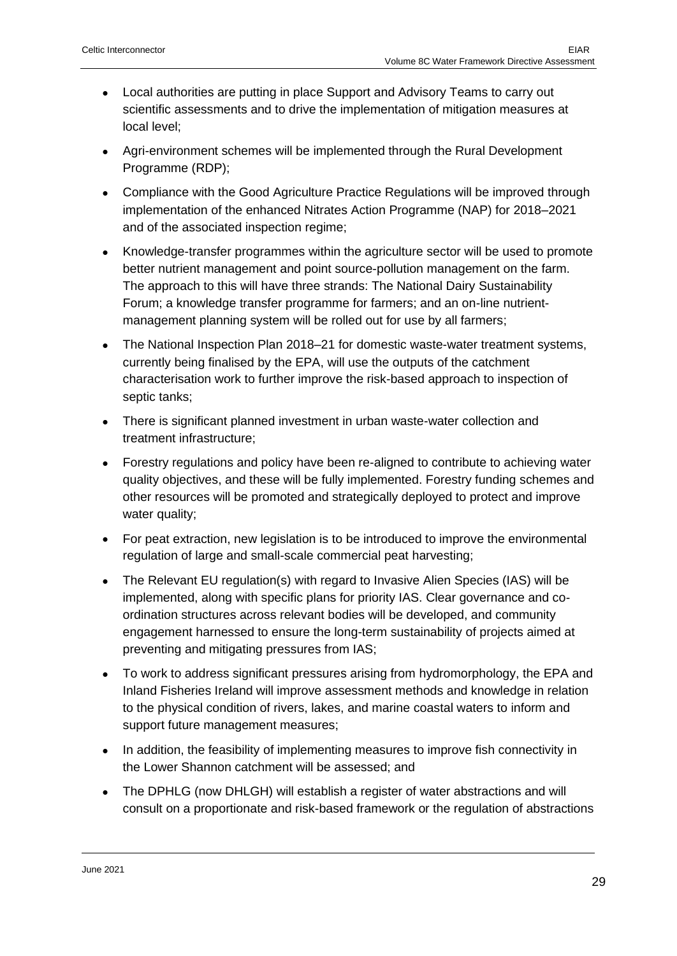- Local authorities are putting in place Support and Advisory Teams to carry out scientific assessments and to drive the implementation of mitigation measures at local level;
- Agri-environment schemes will be implemented through the Rural Development Programme (RDP);
- Compliance with the Good Agriculture Practice Regulations will be improved through implementation of the enhanced Nitrates Action Programme (NAP) for 2018–2021 and of the associated inspection regime;
- Knowledge-transfer programmes within the agriculture sector will be used to promote better nutrient management and point source-pollution management on the farm. The approach to this will have three strands: The National Dairy Sustainability Forum; a knowledge transfer programme for farmers; and an on-line nutrientmanagement planning system will be rolled out for use by all farmers;
- The National Inspection Plan 2018–21 for domestic waste-water treatment systems, currently being finalised by the EPA, will use the outputs of the catchment characterisation work to further improve the risk-based approach to inspection of septic tanks;
- There is significant planned investment in urban waste-water collection and treatment infrastructure;
- Forestry regulations and policy have been re-aligned to contribute to achieving water quality objectives, and these will be fully implemented. Forestry funding schemes and other resources will be promoted and strategically deployed to protect and improve water quality;
- For peat extraction, new legislation is to be introduced to improve the environmental regulation of large and small-scale commercial peat harvesting;
- The Relevant EU regulation(s) with regard to Invasive Alien Species (IAS) will be implemented, along with specific plans for priority IAS. Clear governance and coordination structures across relevant bodies will be developed, and community engagement harnessed to ensure the long-term sustainability of projects aimed at preventing and mitigating pressures from IAS;
- To work to address significant pressures arising from hydromorphology, the EPA and Inland Fisheries Ireland will improve assessment methods and knowledge in relation to the physical condition of rivers, lakes, and marine coastal waters to inform and support future management measures;
- In addition, the feasibility of implementing measures to improve fish connectivity in the Lower Shannon catchment will be assessed; and
- The DPHLG (now DHLGH) will establish a register of water abstractions and will consult on a proportionate and risk-based framework or the regulation of abstractions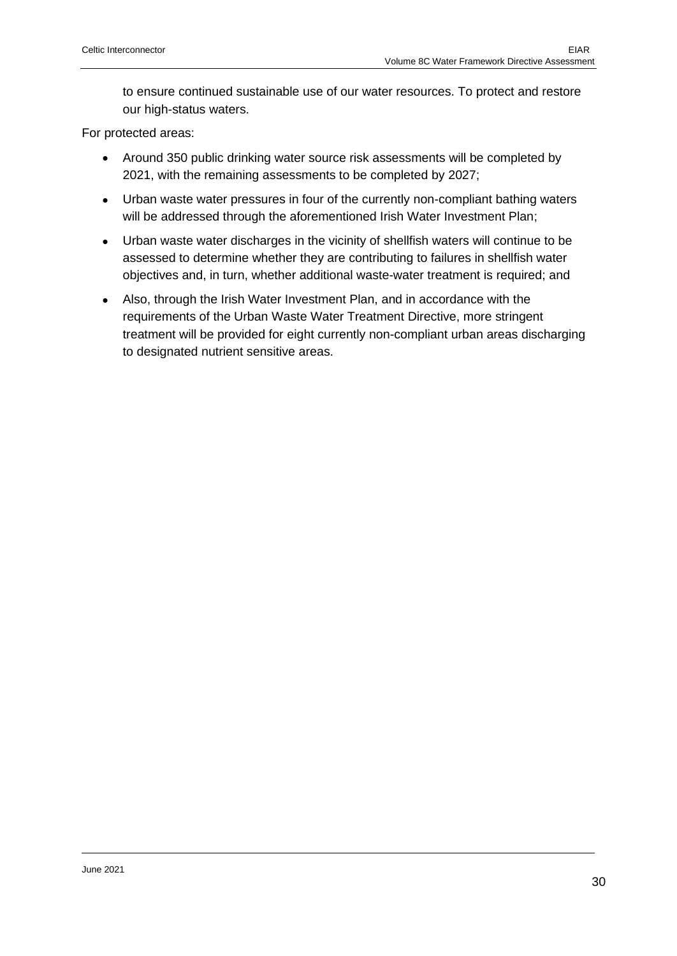to ensure continued sustainable use of our water resources. To protect and restore our high-status waters.

For protected areas:

- Around 350 public drinking water source risk assessments will be completed by 2021, with the remaining assessments to be completed by 2027;
- Urban waste water pressures in four of the currently non-compliant bathing waters will be addressed through the aforementioned Irish Water Investment Plan;
- Urban waste water discharges in the vicinity of shellfish waters will continue to be assessed to determine whether they are contributing to failures in shellfish water objectives and, in turn, whether additional waste-water treatment is required; and
- Also, through the Irish Water Investment Plan, and in accordance with the requirements of the Urban Waste Water Treatment Directive, more stringent treatment will be provided for eight currently non-compliant urban areas discharging to designated nutrient sensitive areas.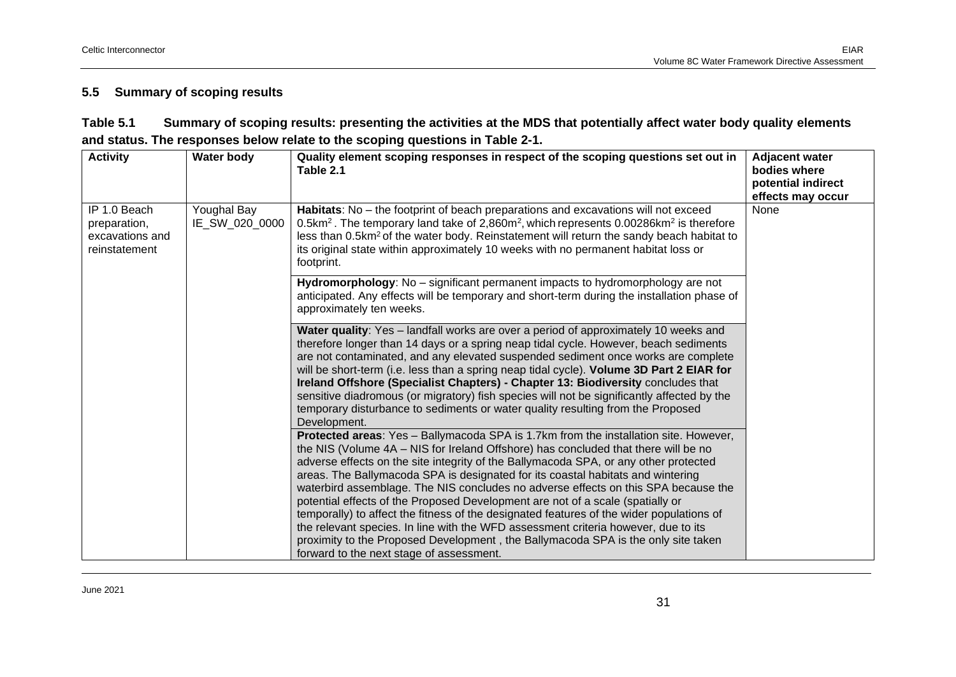#### **5.5 Summary of scoping results**

| Table 5.1 | Summary of scoping results: presenting the activities at the MDS that potentially affect water body quality elements |
|-----------|----------------------------------------------------------------------------------------------------------------------|
|           | and status. The responses below relate to the scoping questions in Table 2-1.                                        |

<span id="page-30-0"></span>

| <b>Activity</b>                                                  | <b>Water body</b>             | Quality element scoping responses in respect of the scoping questions set out in<br>Table 2.1                                                                                                                                                                                                                                                                                                                                                                                                                                                                                                                                                                                                                                                                                                                                                    | <b>Adjacent water</b><br>bodies where<br>potential indirect<br>effects may occur |
|------------------------------------------------------------------|-------------------------------|--------------------------------------------------------------------------------------------------------------------------------------------------------------------------------------------------------------------------------------------------------------------------------------------------------------------------------------------------------------------------------------------------------------------------------------------------------------------------------------------------------------------------------------------------------------------------------------------------------------------------------------------------------------------------------------------------------------------------------------------------------------------------------------------------------------------------------------------------|----------------------------------------------------------------------------------|
| IP 1.0 Beach<br>preparation,<br>excavations and<br>reinstatement | Youghal Bay<br>IE_SW_020_0000 | Habitats: No - the footprint of beach preparations and excavations will not exceed<br>0.5km <sup>2</sup> . The temporary land take of 2,860m <sup>2</sup> , which represents 0.00286km <sup>2</sup> is therefore<br>less than 0.5km <sup>2</sup> of the water body. Reinstatement will return the sandy beach habitat to<br>its original state within approximately 10 weeks with no permanent habitat loss or<br>footprint.                                                                                                                                                                                                                                                                                                                                                                                                                     | None                                                                             |
|                                                                  |                               | Hydromorphology: No - significant permanent impacts to hydromorphology are not<br>anticipated. Any effects will be temporary and short-term during the installation phase of<br>approximately ten weeks.                                                                                                                                                                                                                                                                                                                                                                                                                                                                                                                                                                                                                                         |                                                                                  |
|                                                                  |                               | Water quality: Yes - landfall works are over a period of approximately 10 weeks and<br>therefore longer than 14 days or a spring neap tidal cycle. However, beach sediments<br>are not contaminated, and any elevated suspended sediment once works are complete<br>will be short-term (i.e. less than a spring neap tidal cycle). Volume 3D Part 2 EIAR for<br>Ireland Offshore (Specialist Chapters) - Chapter 13: Biodiversity concludes that<br>sensitive diadromous (or migratory) fish species will not be significantly affected by the<br>temporary disturbance to sediments or water quality resulting from the Proposed<br>Development.                                                                                                                                                                                                |                                                                                  |
|                                                                  |                               | Protected areas: Yes - Ballymacoda SPA is 1.7km from the installation site. However,<br>the NIS (Volume 4A - NIS for Ireland Offshore) has concluded that there will be no<br>adverse effects on the site integrity of the Ballymacoda SPA, or any other protected<br>areas. The Ballymacoda SPA is designated for its coastal habitats and wintering<br>waterbird assemblage. The NIS concludes no adverse effects on this SPA because the<br>potential effects of the Proposed Development are not of a scale (spatially or<br>temporally) to affect the fitness of the designated features of the wider populations of<br>the relevant species. In line with the WFD assessment criteria however, due to its<br>proximity to the Proposed Development, the Ballymacoda SPA is the only site taken<br>forward to the next stage of assessment. |                                                                                  |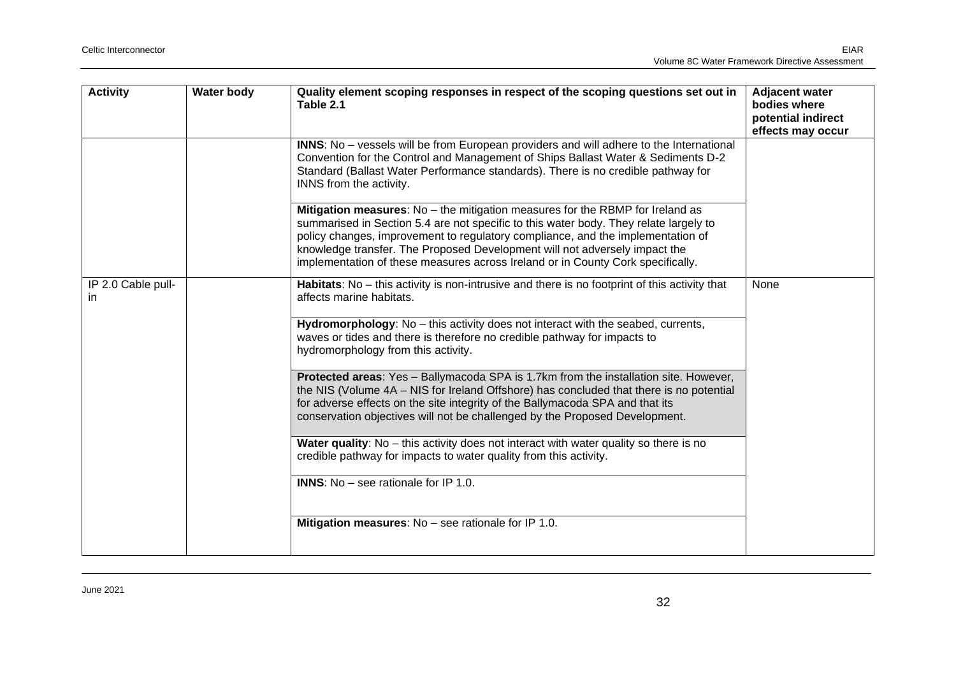| <b>Activity</b>                    | <b>Water body</b> | Quality element scoping responses in respect of the scoping questions set out in<br>Table 2.1                                                                                                                                                                                                                                                                                                                                       | <b>Adjacent water</b><br>bodies where<br>potential indirect<br>effects may occur |
|------------------------------------|-------------------|-------------------------------------------------------------------------------------------------------------------------------------------------------------------------------------------------------------------------------------------------------------------------------------------------------------------------------------------------------------------------------------------------------------------------------------|----------------------------------------------------------------------------------|
|                                    |                   | <b>INNS:</b> No - vessels will be from European providers and will adhere to the International<br>Convention for the Control and Management of Ships Ballast Water & Sediments D-2<br>Standard (Ballast Water Performance standards). There is no credible pathway for<br>INNS from the activity.                                                                                                                                   |                                                                                  |
|                                    |                   | <b>Mitigation measures:</b> $No$ – the mitigation measures for the RBMP for Ireland as<br>summarised in Section 5.4 are not specific to this water body. They relate largely to<br>policy changes, improvement to regulatory compliance, and the implementation of<br>knowledge transfer. The Proposed Development will not adversely impact the<br>implementation of these measures across Ireland or in County Cork specifically. |                                                                                  |
| IP 2.0 Cable pull-<br>$\mathsf{I}$ |                   | Habitats: No - this activity is non-intrusive and there is no footprint of this activity that<br>affects marine habitats.                                                                                                                                                                                                                                                                                                           | None                                                                             |
|                                    |                   | Hydromorphology: No - this activity does not interact with the seabed, currents,<br>waves or tides and there is therefore no credible pathway for impacts to<br>hydromorphology from this activity.                                                                                                                                                                                                                                 |                                                                                  |
|                                    |                   | Protected areas: Yes - Ballymacoda SPA is 1.7km from the installation site. However,<br>the NIS (Volume 4A - NIS for Ireland Offshore) has concluded that there is no potential<br>for adverse effects on the site integrity of the Ballymacoda SPA and that its<br>conservation objectives will not be challenged by the Proposed Development.                                                                                     |                                                                                  |
|                                    |                   | Water quality: No - this activity does not interact with water quality so there is no<br>credible pathway for impacts to water quality from this activity.                                                                                                                                                                                                                                                                          |                                                                                  |
|                                    |                   | <b>INNS:</b> No - see rationale for IP 1.0.                                                                                                                                                                                                                                                                                                                                                                                         |                                                                                  |
|                                    |                   | Mitigation measures: No - see rationale for IP 1.0.                                                                                                                                                                                                                                                                                                                                                                                 |                                                                                  |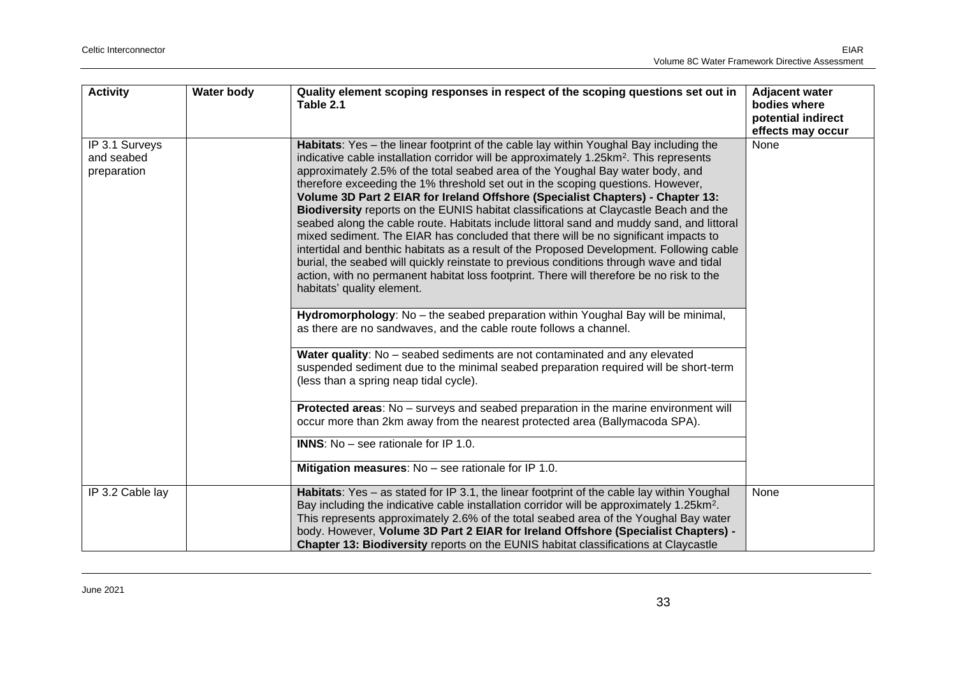| <b>Activity</b>                             | <b>Water body</b> | Quality element scoping responses in respect of the scoping questions set out in<br>Table 2.1                                                                                                                                                                                                                                                                                                                                                                                                                                                                                                                                                                                                                                                                                                                                                                                                                                                                                                                                                     | <b>Adjacent water</b><br>bodies where<br>potential indirect<br>effects may occur |
|---------------------------------------------|-------------------|---------------------------------------------------------------------------------------------------------------------------------------------------------------------------------------------------------------------------------------------------------------------------------------------------------------------------------------------------------------------------------------------------------------------------------------------------------------------------------------------------------------------------------------------------------------------------------------------------------------------------------------------------------------------------------------------------------------------------------------------------------------------------------------------------------------------------------------------------------------------------------------------------------------------------------------------------------------------------------------------------------------------------------------------------|----------------------------------------------------------------------------------|
| IP 3.1 Surveys<br>and seabed<br>preparation |                   | Habitats: Yes - the linear footprint of the cable lay within Youghal Bay including the<br>indicative cable installation corridor will be approximately 1.25km <sup>2</sup> . This represents<br>approximately 2.5% of the total seabed area of the Youghal Bay water body, and<br>therefore exceeding the 1% threshold set out in the scoping questions. However,<br>Volume 3D Part 2 EIAR for Ireland Offshore (Specialist Chapters) - Chapter 13:<br>Biodiversity reports on the EUNIS habitat classifications at Claycastle Beach and the<br>seabed along the cable route. Habitats include littoral sand and muddy sand, and littoral<br>mixed sediment. The EIAR has concluded that there will be no significant impacts to<br>intertidal and benthic habitats as a result of the Proposed Development. Following cable<br>burial, the seabed will quickly reinstate to previous conditions through wave and tidal<br>action, with no permanent habitat loss footprint. There will therefore be no risk to the<br>habitats' quality element. | None                                                                             |
|                                             |                   | Hydromorphology: No - the seabed preparation within Youghal Bay will be minimal,<br>as there are no sandwaves, and the cable route follows a channel.                                                                                                                                                                                                                                                                                                                                                                                                                                                                                                                                                                                                                                                                                                                                                                                                                                                                                             |                                                                                  |
|                                             |                   | Water quality: No - seabed sediments are not contaminated and any elevated<br>suspended sediment due to the minimal seabed preparation required will be short-term<br>(less than a spring neap tidal cycle).                                                                                                                                                                                                                                                                                                                                                                                                                                                                                                                                                                                                                                                                                                                                                                                                                                      |                                                                                  |
|                                             |                   | Protected areas: No - surveys and seabed preparation in the marine environment will<br>occur more than 2km away from the nearest protected area (Ballymacoda SPA).                                                                                                                                                                                                                                                                                                                                                                                                                                                                                                                                                                                                                                                                                                                                                                                                                                                                                |                                                                                  |
|                                             |                   | <b>INNS:</b> No – see rationale for IP 1.0.                                                                                                                                                                                                                                                                                                                                                                                                                                                                                                                                                                                                                                                                                                                                                                                                                                                                                                                                                                                                       |                                                                                  |
|                                             |                   | Mitigation measures: No - see rationale for IP 1.0.                                                                                                                                                                                                                                                                                                                                                                                                                                                                                                                                                                                                                                                                                                                                                                                                                                                                                                                                                                                               |                                                                                  |
| IP 3.2 Cable lay                            |                   | Habitats: Yes - as stated for IP 3.1, the linear footprint of the cable lay within Youghal<br>Bay including the indicative cable installation corridor will be approximately 1.25km <sup>2</sup> .<br>This represents approximately 2.6% of the total seabed area of the Youghal Bay water<br>body. However, Volume 3D Part 2 EIAR for Ireland Offshore (Specialist Chapters) -<br>Chapter 13: Biodiversity reports on the EUNIS habitat classifications at Claycastle                                                                                                                                                                                                                                                                                                                                                                                                                                                                                                                                                                            | None                                                                             |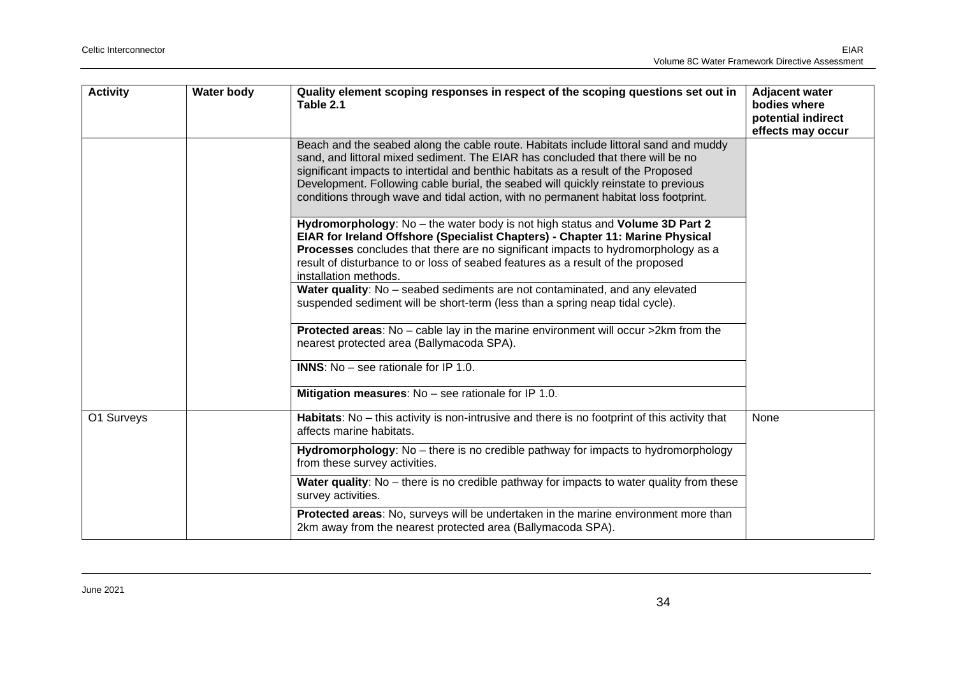| <b>Activity</b> | <b>Water body</b> | Quality element scoping responses in respect of the scoping questions set out in<br>Table 2.1                                                                                                                                                                                                                                                                                                                                              | <b>Adjacent water</b><br>bodies where<br>potential indirect<br>effects may occur |
|-----------------|-------------------|--------------------------------------------------------------------------------------------------------------------------------------------------------------------------------------------------------------------------------------------------------------------------------------------------------------------------------------------------------------------------------------------------------------------------------------------|----------------------------------------------------------------------------------|
|                 |                   | Beach and the seabed along the cable route. Habitats include littoral sand and muddy<br>sand, and littoral mixed sediment. The EIAR has concluded that there will be no<br>significant impacts to intertidal and benthic habitats as a result of the Proposed<br>Development. Following cable burial, the seabed will quickly reinstate to previous<br>conditions through wave and tidal action, with no permanent habitat loss footprint. |                                                                                  |
|                 |                   | Hydromorphology: No – the water body is not high status and Volume 3D Part 2<br>EIAR for Ireland Offshore (Specialist Chapters) - Chapter 11: Marine Physical<br>Processes concludes that there are no significant impacts to hydromorphology as a<br>result of disturbance to or loss of seabed features as a result of the proposed<br>installation methods.                                                                             |                                                                                  |
|                 |                   | Water quality: No - seabed sediments are not contaminated, and any elevated<br>suspended sediment will be short-term (less than a spring neap tidal cycle).                                                                                                                                                                                                                                                                                |                                                                                  |
|                 |                   | Protected areas: No - cable lay in the marine environment will occur >2km from the<br>nearest protected area (Ballymacoda SPA).                                                                                                                                                                                                                                                                                                            |                                                                                  |
|                 |                   | <b>INNS:</b> No – see rationale for IP 1.0.                                                                                                                                                                                                                                                                                                                                                                                                |                                                                                  |
|                 |                   | <b>Mitigation measures:</b> $No$ – see rationale for IP 1.0.                                                                                                                                                                                                                                                                                                                                                                               |                                                                                  |
| O1 Surveys      |                   | Habitats: No - this activity is non-intrusive and there is no footprint of this activity that<br>affects marine habitats.                                                                                                                                                                                                                                                                                                                  | None                                                                             |
|                 |                   | Hydromorphology: No - there is no credible pathway for impacts to hydromorphology<br>from these survey activities.                                                                                                                                                                                                                                                                                                                         |                                                                                  |
|                 |                   | <b>Water quality:</b> No – there is no credible pathway for impacts to water quality from these<br>survey activities.                                                                                                                                                                                                                                                                                                                      |                                                                                  |
|                 |                   | Protected areas: No, surveys will be undertaken in the marine environment more than<br>2km away from the nearest protected area (Ballymacoda SPA).                                                                                                                                                                                                                                                                                         |                                                                                  |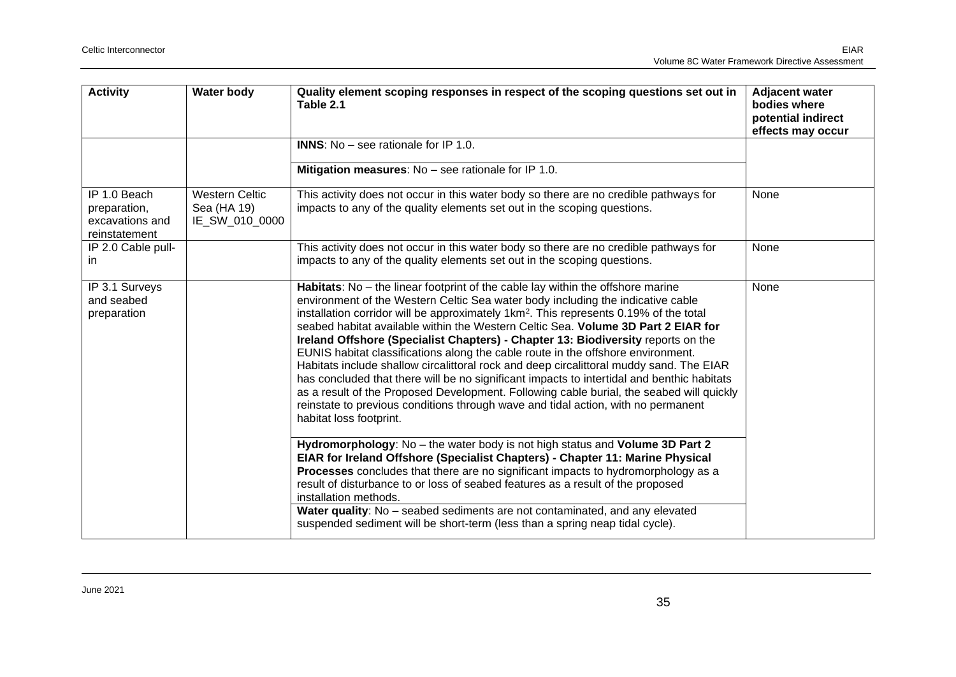| <b>Activity</b>                                                  | <b>Water body</b>                                      | Quality element scoping responses in respect of the scoping questions set out in<br>Table 2.1                                                                                                                                                                                                                                                                                                                                                                                                                                                                                                                                                                                                                                                                                                                                                                                                                                             | <b>Adjacent water</b><br>bodies where<br>potential indirect<br>effects may occur |
|------------------------------------------------------------------|--------------------------------------------------------|-------------------------------------------------------------------------------------------------------------------------------------------------------------------------------------------------------------------------------------------------------------------------------------------------------------------------------------------------------------------------------------------------------------------------------------------------------------------------------------------------------------------------------------------------------------------------------------------------------------------------------------------------------------------------------------------------------------------------------------------------------------------------------------------------------------------------------------------------------------------------------------------------------------------------------------------|----------------------------------------------------------------------------------|
|                                                                  |                                                        | <b>INNS:</b> $No$ – see rationale for IP 1.0.                                                                                                                                                                                                                                                                                                                                                                                                                                                                                                                                                                                                                                                                                                                                                                                                                                                                                             |                                                                                  |
|                                                                  |                                                        | Mitigation measures: No - see rationale for IP 1.0.                                                                                                                                                                                                                                                                                                                                                                                                                                                                                                                                                                                                                                                                                                                                                                                                                                                                                       |                                                                                  |
| IP 1.0 Beach<br>preparation,<br>excavations and<br>reinstatement | <b>Western Celtic</b><br>Sea (HA 19)<br>IE_SW_010_0000 | This activity does not occur in this water body so there are no credible pathways for<br>impacts to any of the quality elements set out in the scoping questions.                                                                                                                                                                                                                                                                                                                                                                                                                                                                                                                                                                                                                                                                                                                                                                         | None                                                                             |
| IP 2.0 Cable pull-<br>in.                                        |                                                        | This activity does not occur in this water body so there are no credible pathways for<br>impacts to any of the quality elements set out in the scoping questions.                                                                                                                                                                                                                                                                                                                                                                                                                                                                                                                                                                                                                                                                                                                                                                         | None                                                                             |
| IP 3.1 Surveys<br>and seabed<br>preparation                      |                                                        | Habitats: No - the linear footprint of the cable lay within the offshore marine<br>environment of the Western Celtic Sea water body including the indicative cable<br>installation corridor will be approximately 1km <sup>2</sup> . This represents 0.19% of the total<br>seabed habitat available within the Western Celtic Sea. Volume 3D Part 2 EIAR for<br>Ireland Offshore (Specialist Chapters) - Chapter 13: Biodiversity reports on the<br>EUNIS habitat classifications along the cable route in the offshore environment.<br>Habitats include shallow circalittoral rock and deep circalittoral muddy sand. The EIAR<br>has concluded that there will be no significant impacts to intertidal and benthic habitats<br>as a result of the Proposed Development. Following cable burial, the seabed will quickly<br>reinstate to previous conditions through wave and tidal action, with no permanent<br>habitat loss footprint. | None                                                                             |
|                                                                  |                                                        | Hydromorphology: No - the water body is not high status and Volume 3D Part 2<br>EIAR for Ireland Offshore (Specialist Chapters) - Chapter 11: Marine Physical<br>Processes concludes that there are no significant impacts to hydromorphology as a<br>result of disturbance to or loss of seabed features as a result of the proposed<br>installation methods.<br>Water quality: No - seabed sediments are not contaminated, and any elevated<br>suspended sediment will be short-term (less than a spring neap tidal cycle).                                                                                                                                                                                                                                                                                                                                                                                                             |                                                                                  |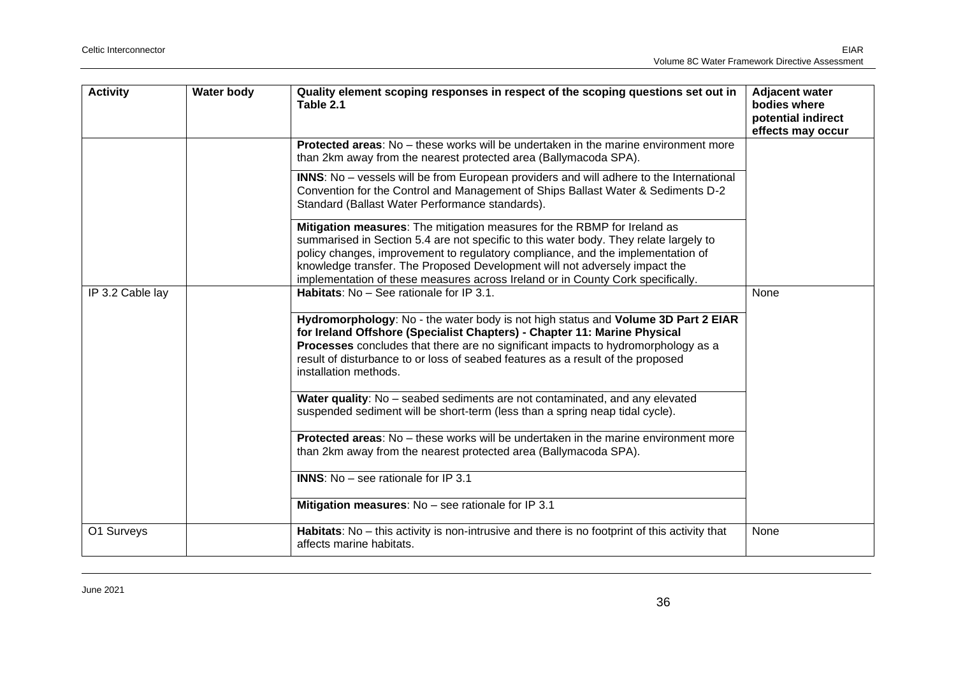| <b>Activity</b>  | <b>Water body</b> | Quality element scoping responses in respect of the scoping questions set out in<br>Table 2.1                                                                                                                                                                                                                                                                                                                         | <b>Adjacent water</b><br>bodies where<br>potential indirect<br>effects may occur |
|------------------|-------------------|-----------------------------------------------------------------------------------------------------------------------------------------------------------------------------------------------------------------------------------------------------------------------------------------------------------------------------------------------------------------------------------------------------------------------|----------------------------------------------------------------------------------|
|                  |                   | <b>Protected areas:</b> No – these works will be undertaken in the marine environment more<br>than 2km away from the nearest protected area (Ballymacoda SPA).                                                                                                                                                                                                                                                        |                                                                                  |
|                  |                   | INNS: No - vessels will be from European providers and will adhere to the International<br>Convention for the Control and Management of Ships Ballast Water & Sediments D-2<br>Standard (Ballast Water Performance standards).                                                                                                                                                                                        |                                                                                  |
|                  |                   | Mitigation measures: The mitigation measures for the RBMP for Ireland as<br>summarised in Section 5.4 are not specific to this water body. They relate largely to<br>policy changes, improvement to regulatory compliance, and the implementation of<br>knowledge transfer. The Proposed Development will not adversely impact the<br>implementation of these measures across Ireland or in County Cork specifically. |                                                                                  |
| IP 3.2 Cable lay |                   | Habitats: No - See rationale for IP 3.1.                                                                                                                                                                                                                                                                                                                                                                              | None                                                                             |
|                  |                   | Hydromorphology: No - the water body is not high status and Volume 3D Part 2 EIAR<br>for Ireland Offshore (Specialist Chapters) - Chapter 11: Marine Physical<br>Processes concludes that there are no significant impacts to hydromorphology as a<br>result of disturbance to or loss of seabed features as a result of the proposed<br>installation methods.                                                        |                                                                                  |
|                  |                   | Water quality: No - seabed sediments are not contaminated, and any elevated<br>suspended sediment will be short-term (less than a spring neap tidal cycle).                                                                                                                                                                                                                                                           |                                                                                  |
|                  |                   | Protected areas: No - these works will be undertaken in the marine environment more<br>than 2km away from the nearest protected area (Ballymacoda SPA).                                                                                                                                                                                                                                                               |                                                                                  |
|                  |                   | <b>INNS:</b> No - see rationale for IP 3.1                                                                                                                                                                                                                                                                                                                                                                            |                                                                                  |
|                  |                   | Mitigation measures: No - see rationale for IP 3.1                                                                                                                                                                                                                                                                                                                                                                    |                                                                                  |
| O1 Surveys       |                   | Habitats: No - this activity is non-intrusive and there is no footprint of this activity that<br>affects marine habitats.                                                                                                                                                                                                                                                                                             | None                                                                             |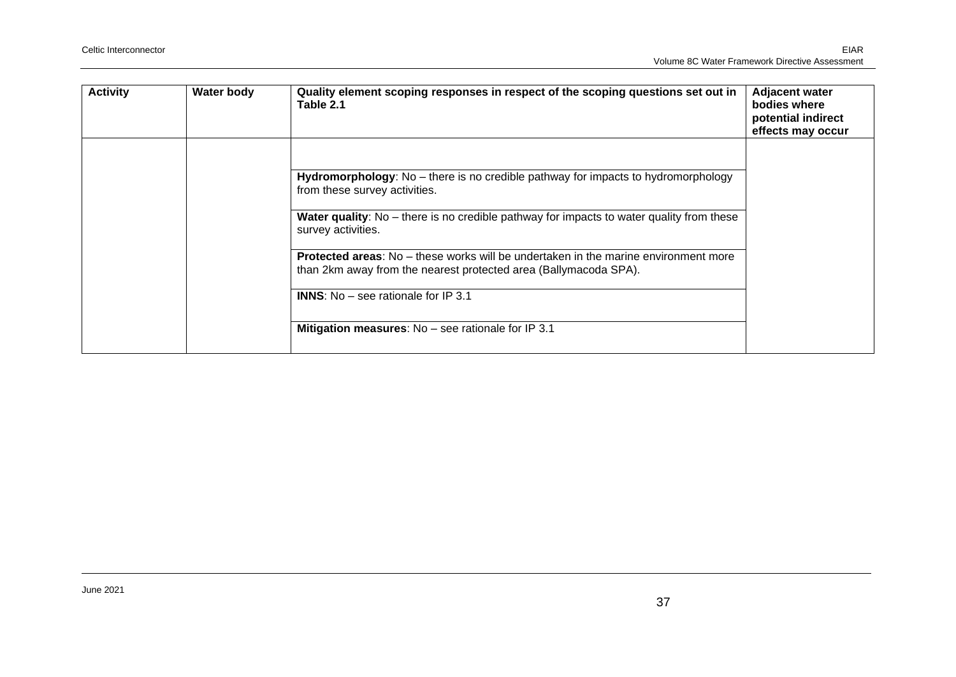| <b>Activity</b> | <b>Water body</b> | Quality element scoping responses in respect of the scoping questions set out in<br>Table 2.1                                                                  | <b>Adjacent water</b><br>bodies where<br>potential indirect<br>effects may occur |
|-----------------|-------------------|----------------------------------------------------------------------------------------------------------------------------------------------------------------|----------------------------------------------------------------------------------|
|                 |                   |                                                                                                                                                                |                                                                                  |
|                 |                   | Hydromorphology: No – there is no credible pathway for impacts to hydromorphology<br>from these survey activities.                                             |                                                                                  |
|                 |                   | <b>Water quality:</b> No – there is no credible pathway for impacts to water quality from these<br>survey activities.                                          |                                                                                  |
|                 |                   | <b>Protected areas:</b> No – these works will be undertaken in the marine environment more<br>than 2km away from the nearest protected area (Ballymacoda SPA). |                                                                                  |
|                 |                   | <b>INNS:</b> No $-$ see rationale for IP 3.1                                                                                                                   |                                                                                  |
|                 |                   | Mitigation measures: No - see rationale for IP 3.1                                                                                                             |                                                                                  |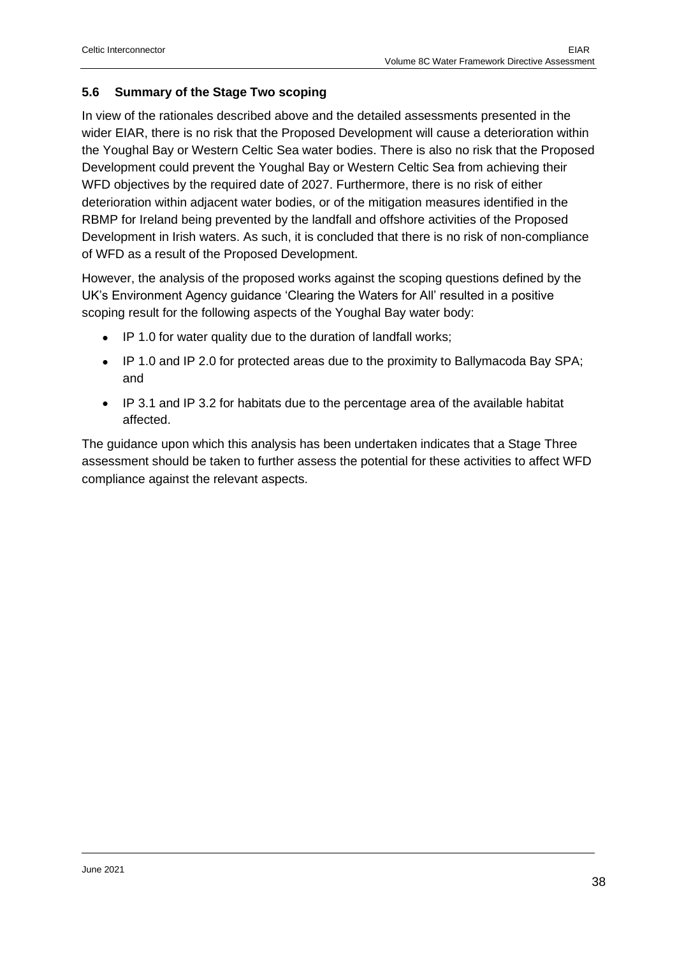#### <span id="page-37-0"></span>**5.6 Summary of the Stage Two scoping**

In view of the rationales described above and the detailed assessments presented in the wider EIAR, there is no risk that the Proposed Development will cause a deterioration within the Youghal Bay or Western Celtic Sea water bodies. There is also no risk that the Proposed Development could prevent the Youghal Bay or Western Celtic Sea from achieving their WFD objectives by the required date of 2027. Furthermore, there is no risk of either deterioration within adjacent water bodies, or of the mitigation measures identified in the RBMP for Ireland being prevented by the landfall and offshore activities of the Proposed Development in Irish waters. As such, it is concluded that there is no risk of non-compliance of WFD as a result of the Proposed Development.

However, the analysis of the proposed works against the scoping questions defined by the UK's Environment Agency guidance 'Clearing the Waters for All' resulted in a positive scoping result for the following aspects of the Youghal Bay water body:

- IP 1.0 for water quality due to the duration of landfall works;
- IP 1.0 and IP 2.0 for protected areas due to the proximity to Ballymacoda Bay SPA; and
- IP 3.1 and IP 3.2 for habitats due to the percentage area of the available habitat affected.

The guidance upon which this analysis has been undertaken indicates that a Stage Three assessment should be taken to further assess the potential for these activities to affect WFD compliance against the relevant aspects.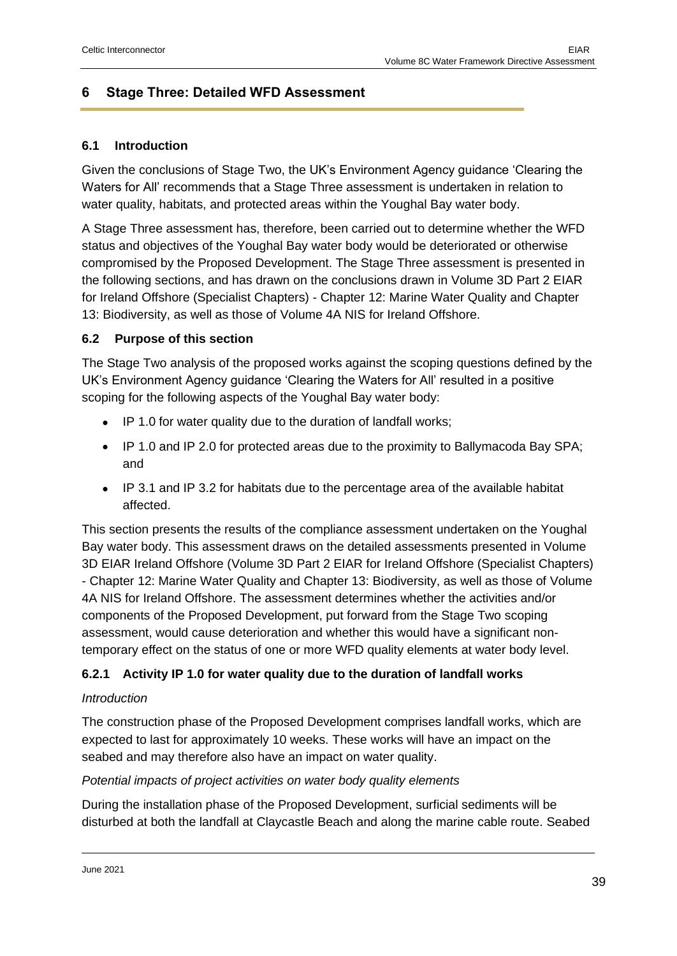## <span id="page-38-0"></span>**6 Stage Three: Detailed WFD Assessment**

#### <span id="page-38-1"></span>**6.1 Introduction**

Given the conclusions of Stage Two, the UK's Environment Agency guidance 'Clearing the Waters for All' recommends that a Stage Three assessment is undertaken in relation to water quality, habitats, and protected areas within the Youghal Bay water body.

A Stage Three assessment has, therefore, been carried out to determine whether the WFD status and objectives of the Youghal Bay water body would be deteriorated or otherwise compromised by the Proposed Development. The Stage Three assessment is presented in the following sections, and has drawn on the conclusions drawn in Volume 3D Part 2 EIAR for Ireland Offshore (Specialist Chapters) - Chapter 12: Marine Water Quality and Chapter 13: Biodiversity, as well as those of Volume 4A NIS for Ireland Offshore.

#### <span id="page-38-2"></span>**6.2 Purpose of this section**

The Stage Two analysis of the proposed works against the scoping questions defined by the UK's Environment Agency guidance 'Clearing the Waters for All' resulted in a positive scoping for the following aspects of the Youghal Bay water body:

- IP 1.0 for water quality due to the duration of landfall works;
- IP 1.0 and IP 2.0 for protected areas due to the proximity to Ballymacoda Bay SPA; and
- IP 3.1 and IP 3.2 for habitats due to the percentage area of the available habitat affected.

This section presents the results of the compliance assessment undertaken on the Youghal Bay water body. This assessment draws on the detailed assessments presented in Volume 3D EIAR Ireland Offshore (Volume 3D Part 2 EIAR for Ireland Offshore (Specialist Chapters) - Chapter 12: Marine Water Quality and Chapter 13: Biodiversity, as well as those of Volume 4A NIS for Ireland Offshore. The assessment determines whether the activities and/or components of the Proposed Development, put forward from the Stage Two scoping assessment, would cause deterioration and whether this would have a significant nontemporary effect on the status of one or more WFD quality elements at water body level.

#### <span id="page-38-3"></span>**6.2.1 Activity IP 1.0 for water quality due to the duration of landfall works**

#### *Introduction*

The construction phase of the Proposed Development comprises landfall works, which are expected to last for approximately 10 weeks. These works will have an impact on the seabed and may therefore also have an impact on water quality.

#### *Potential impacts of project activities on water body quality elements*

During the installation phase of the Proposed Development, surficial sediments will be disturbed at both the landfall at Claycastle Beach and along the marine cable route. Seabed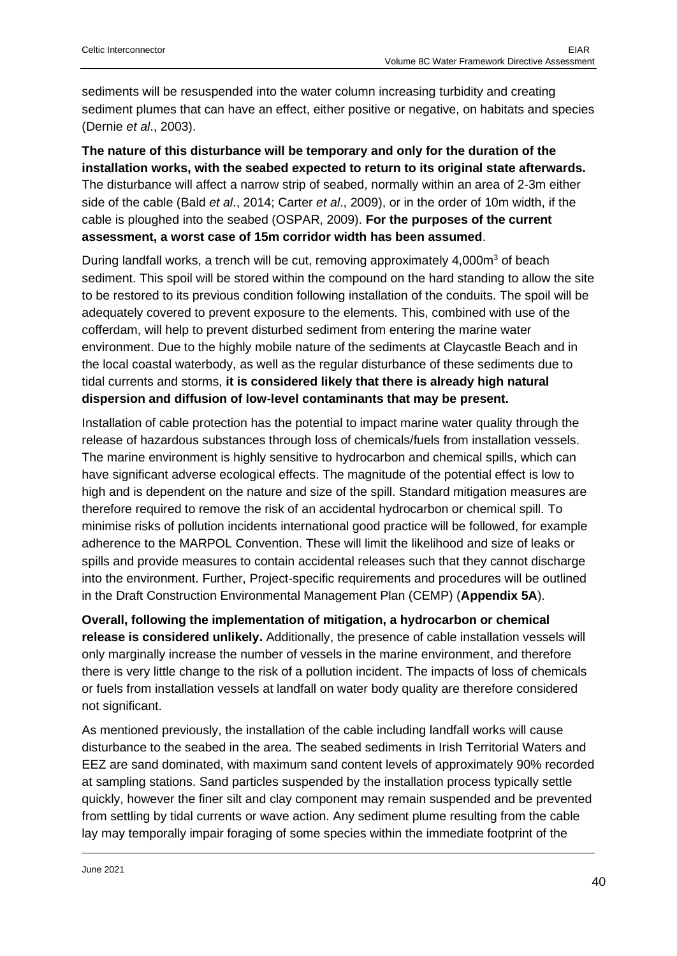sediments will be resuspended into the water column increasing turbidity and creating sediment plumes that can have an effect, either positive or negative, on habitats and species (Dernie *et al*., 2003).

**The nature of this disturbance will be temporary and only for the duration of the installation works, with the seabed expected to return to its original state afterwards.** The disturbance will affect a narrow strip of seabed, normally within an area of 2-3m either side of the cable (Bald *et al*., 2014; Carter *et al*., 2009), or in the order of 10m width, if the cable is ploughed into the seabed (OSPAR, 2009). **For the purposes of the current assessment, a worst case of 15m corridor width has been assumed**.

During landfall works, a trench will be cut, removing approximately 4,000m<sup>3</sup> of beach sediment. This spoil will be stored within the compound on the hard standing to allow the site to be restored to its previous condition following installation of the conduits. The spoil will be adequately covered to prevent exposure to the elements. This, combined with use of the cofferdam, will help to prevent disturbed sediment from entering the marine water environment. Due to the highly mobile nature of the sediments at Claycastle Beach and in the local coastal waterbody, as well as the regular disturbance of these sediments due to tidal currents and storms, **it is considered likely that there is already high natural dispersion and diffusion of low-level contaminants that may be present.**

Installation of cable protection has the potential to impact marine water quality through the release of hazardous substances through loss of chemicals/fuels from installation vessels. The marine environment is highly sensitive to hydrocarbon and chemical spills, which can have significant adverse ecological effects. The magnitude of the potential effect is low to high and is dependent on the nature and size of the spill. Standard mitigation measures are therefore required to remove the risk of an accidental hydrocarbon or chemical spill. To minimise risks of pollution incidents international good practice will be followed, for example adherence to the MARPOL Convention. These will limit the likelihood and size of leaks or spills and provide measures to contain accidental releases such that they cannot discharge into the environment. Further, Project-specific requirements and procedures will be outlined in the Draft Construction Environmental Management Plan (CEMP) (**Appendix 5A**).

**Overall, following the implementation of mitigation, a hydrocarbon or chemical release is considered unlikely.** Additionally, the presence of cable installation vessels will only marginally increase the number of vessels in the marine environment, and therefore there is very little change to the risk of a pollution incident. The impacts of loss of chemicals or fuels from installation vessels at landfall on water body quality are therefore considered not significant.

As mentioned previously, the installation of the cable including landfall works will cause disturbance to the seabed in the area. The seabed sediments in Irish Territorial Waters and EEZ are sand dominated, with maximum sand content levels of approximately 90% recorded at sampling stations. Sand particles suspended by the installation process typically settle quickly, however the finer silt and clay component may remain suspended and be prevented from settling by tidal currents or wave action. Any sediment plume resulting from the cable lay may temporally impair foraging of some species within the immediate footprint of the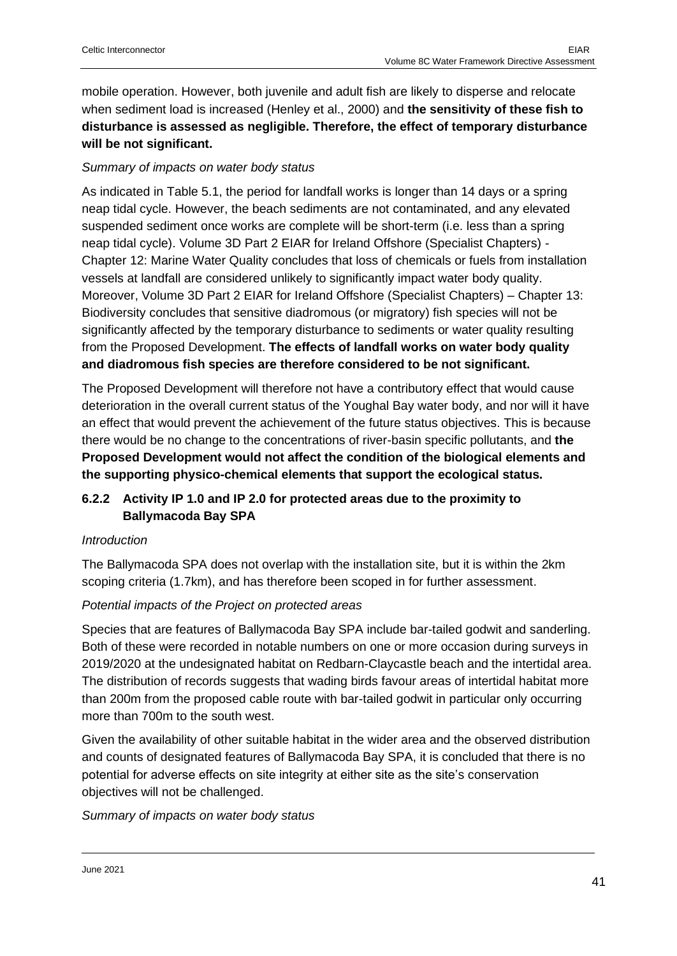mobile operation. However, both juvenile and adult fish are likely to disperse and relocate when sediment load is increased (Henley et al., 2000) and **the sensitivity of these fish to disturbance is assessed as negligible. Therefore, the effect of temporary disturbance will be not significant.**

#### *Summary of impacts on water body status*

As indicated in Table 5.1, the period for landfall works is longer than 14 days or a spring neap tidal cycle. However, the beach sediments are not contaminated, and any elevated suspended sediment once works are complete will be short-term (i.e. less than a spring neap tidal cycle). Volume 3D Part 2 EIAR for Ireland Offshore (Specialist Chapters) - Chapter 12: Marine Water Quality concludes that loss of chemicals or fuels from installation vessels at landfall are considered unlikely to significantly impact water body quality. Moreover, Volume 3D Part 2 EIAR for Ireland Offshore (Specialist Chapters) – Chapter 13: Biodiversity concludes that sensitive diadromous (or migratory) fish species will not be significantly affected by the temporary disturbance to sediments or water quality resulting from the Proposed Development. **The effects of landfall works on water body quality and diadromous fish species are therefore considered to be not significant.**

The Proposed Development will therefore not have a contributory effect that would cause deterioration in the overall current status of the Youghal Bay water body, and nor will it have an effect that would prevent the achievement of the future status objectives. This is because there would be no change to the concentrations of river-basin specific pollutants, and **the Proposed Development would not affect the condition of the biological elements and the supporting physico-chemical elements that support the ecological status.**

#### <span id="page-40-0"></span>**6.2.2 Activity IP 1.0 and IP 2.0 for protected areas due to the proximity to Ballymacoda Bay SPA**

#### *Introduction*

The Ballymacoda SPA does not overlap with the installation site, but it is within the 2km scoping criteria (1.7km), and has therefore been scoped in for further assessment.

#### *Potential impacts of the Project on protected areas*

Species that are features of Ballymacoda Bay SPA include bar-tailed godwit and sanderling. Both of these were recorded in notable numbers on one or more occasion during surveys in 2019/2020 at the undesignated habitat on Redbarn-Claycastle beach and the intertidal area. The distribution of records suggests that wading birds favour areas of intertidal habitat more than 200m from the proposed cable route with bar-tailed godwit in particular only occurring more than 700m to the south west.

Given the availability of other suitable habitat in the wider area and the observed distribution and counts of designated features of Ballymacoda Bay SPA, it is concluded that there is no potential for adverse effects on site integrity at either site as the site's conservation objectives will not be challenged.

*Summary of impacts on water body status*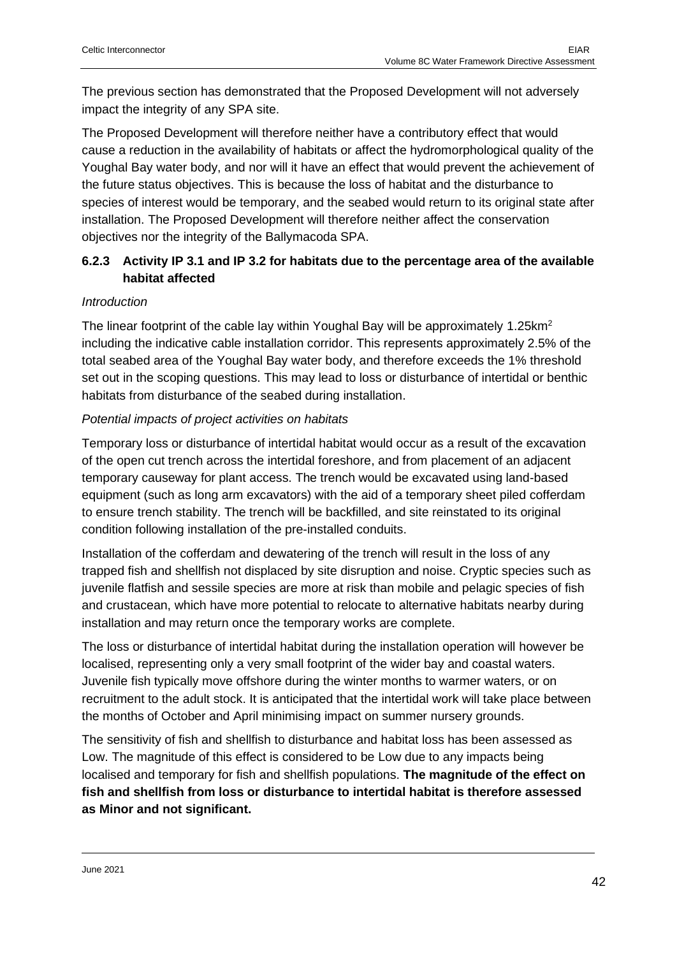The previous section has demonstrated that the Proposed Development will not adversely impact the integrity of any SPA site.

The Proposed Development will therefore neither have a contributory effect that would cause a reduction in the availability of habitats or affect the hydromorphological quality of the Youghal Bay water body, and nor will it have an effect that would prevent the achievement of the future status objectives. This is because the loss of habitat and the disturbance to species of interest would be temporary, and the seabed would return to its original state after installation. The Proposed Development will therefore neither affect the conservation objectives nor the integrity of the Ballymacoda SPA.

#### <span id="page-41-0"></span>**6.2.3 Activity IP 3.1 and IP 3.2 for habitats due to the percentage area of the available habitat affected**

#### *Introduction*

The linear footprint of the cable lay within Youghal Bay will be approximately 1.25 $km^2$ including the indicative cable installation corridor. This represents approximately 2.5% of the total seabed area of the Youghal Bay water body, and therefore exceeds the 1% threshold set out in the scoping questions. This may lead to loss or disturbance of intertidal or benthic habitats from disturbance of the seabed during installation.

#### *Potential impacts of project activities on habitats*

Temporary loss or disturbance of intertidal habitat would occur as a result of the excavation of the open cut trench across the intertidal foreshore, and from placement of an adjacent temporary causeway for plant access. The trench would be excavated using land-based equipment (such as long arm excavators) with the aid of a temporary sheet piled cofferdam to ensure trench stability. The trench will be backfilled, and site reinstated to its original condition following installation of the pre-installed conduits.

Installation of the cofferdam and dewatering of the trench will result in the loss of any trapped fish and shellfish not displaced by site disruption and noise. Cryptic species such as juvenile flatfish and sessile species are more at risk than mobile and pelagic species of fish and crustacean, which have more potential to relocate to alternative habitats nearby during installation and may return once the temporary works are complete.

The loss or disturbance of intertidal habitat during the installation operation will however be localised, representing only a very small footprint of the wider bay and coastal waters. Juvenile fish typically move offshore during the winter months to warmer waters, or on recruitment to the adult stock. It is anticipated that the intertidal work will take place between the months of October and April minimising impact on summer nursery grounds.

The sensitivity of fish and shellfish to disturbance and habitat loss has been assessed as Low. The magnitude of this effect is considered to be Low due to any impacts being localised and temporary for fish and shellfish populations. **The magnitude of the effect on fish and shellfish from loss or disturbance to intertidal habitat is therefore assessed as Minor and not significant.**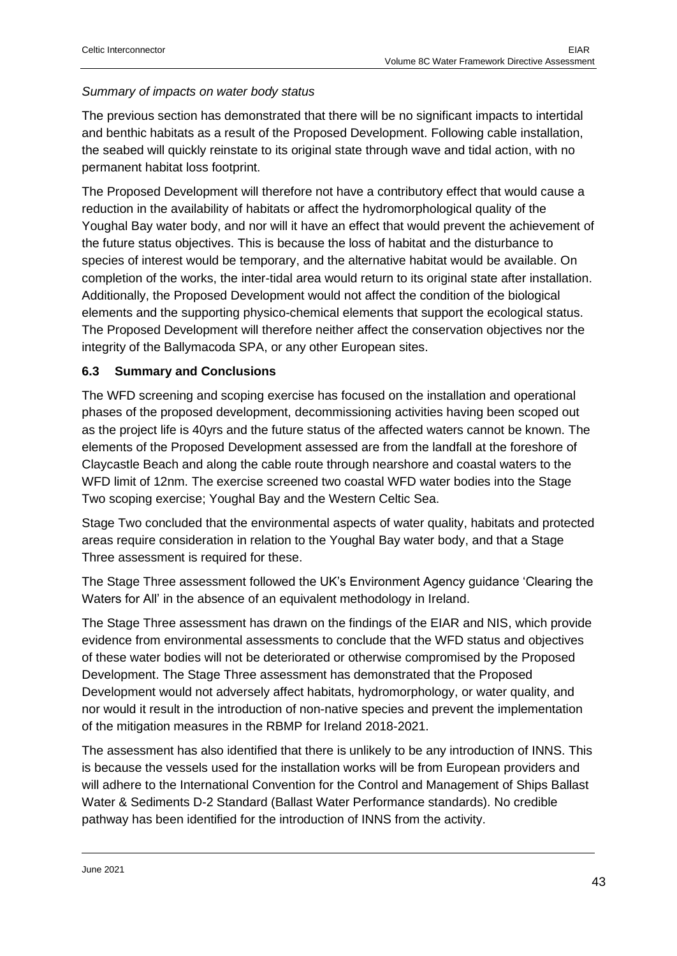#### *Summary of impacts on water body status*

The previous section has demonstrated that there will be no significant impacts to intertidal and benthic habitats as a result of the Proposed Development. Following cable installation, the seabed will quickly reinstate to its original state through wave and tidal action, with no permanent habitat loss footprint.

The Proposed Development will therefore not have a contributory effect that would cause a reduction in the availability of habitats or affect the hydromorphological quality of the Youghal Bay water body, and nor will it have an effect that would prevent the achievement of the future status objectives. This is because the loss of habitat and the disturbance to species of interest would be temporary, and the alternative habitat would be available. On completion of the works, the inter-tidal area would return to its original state after installation. Additionally, the Proposed Development would not affect the condition of the biological elements and the supporting physico-chemical elements that support the ecological status. The Proposed Development will therefore neither affect the conservation objectives nor the integrity of the Ballymacoda SPA, or any other European sites.

#### <span id="page-42-0"></span>**6.3 Summary and Conclusions**

The WFD screening and scoping exercise has focused on the installation and operational phases of the proposed development, decommissioning activities having been scoped out as the project life is 40yrs and the future status of the affected waters cannot be known. The elements of the Proposed Development assessed are from the landfall at the foreshore of Claycastle Beach and along the cable route through nearshore and coastal waters to the WFD limit of 12nm. The exercise screened two coastal WFD water bodies into the Stage Two scoping exercise; Youghal Bay and the Western Celtic Sea.

Stage Two concluded that the environmental aspects of water quality, habitats and protected areas require consideration in relation to the Youghal Bay water body, and that a Stage Three assessment is required for these.

The Stage Three assessment followed the UK's Environment Agency guidance 'Clearing the Waters for All' in the absence of an equivalent methodology in Ireland.

The Stage Three assessment has drawn on the findings of the EIAR and NIS, which provide evidence from environmental assessments to conclude that the WFD status and objectives of these water bodies will not be deteriorated or otherwise compromised by the Proposed Development. The Stage Three assessment has demonstrated that the Proposed Development would not adversely affect habitats, hydromorphology, or water quality, and nor would it result in the introduction of non-native species and prevent the implementation of the mitigation measures in the RBMP for Ireland 2018-2021.

The assessment has also identified that there is unlikely to be any introduction of INNS. This is because the vessels used for the installation works will be from European providers and will adhere to the International Convention for the Control and Management of Ships Ballast Water & Sediments D-2 Standard (Ballast Water Performance standards). No credible pathway has been identified for the introduction of INNS from the activity.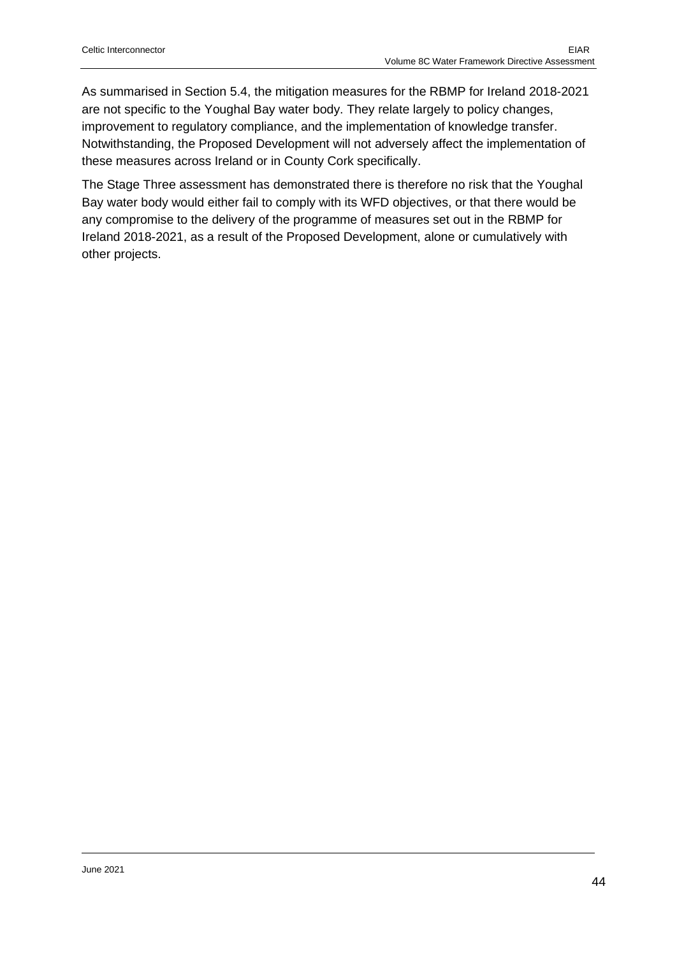As summarised in Section 5.4, the mitigation measures for the RBMP for Ireland 2018-2021 are not specific to the Youghal Bay water body. They relate largely to policy changes, improvement to regulatory compliance, and the implementation of knowledge transfer. Notwithstanding, the Proposed Development will not adversely affect the implementation of these measures across Ireland or in County Cork specifically.

The Stage Three assessment has demonstrated there is therefore no risk that the Youghal Bay water body would either fail to comply with its WFD objectives, or that there would be any compromise to the delivery of the programme of measures set out in the RBMP for Ireland 2018-2021, as a result of the Proposed Development, alone or cumulatively with other projects.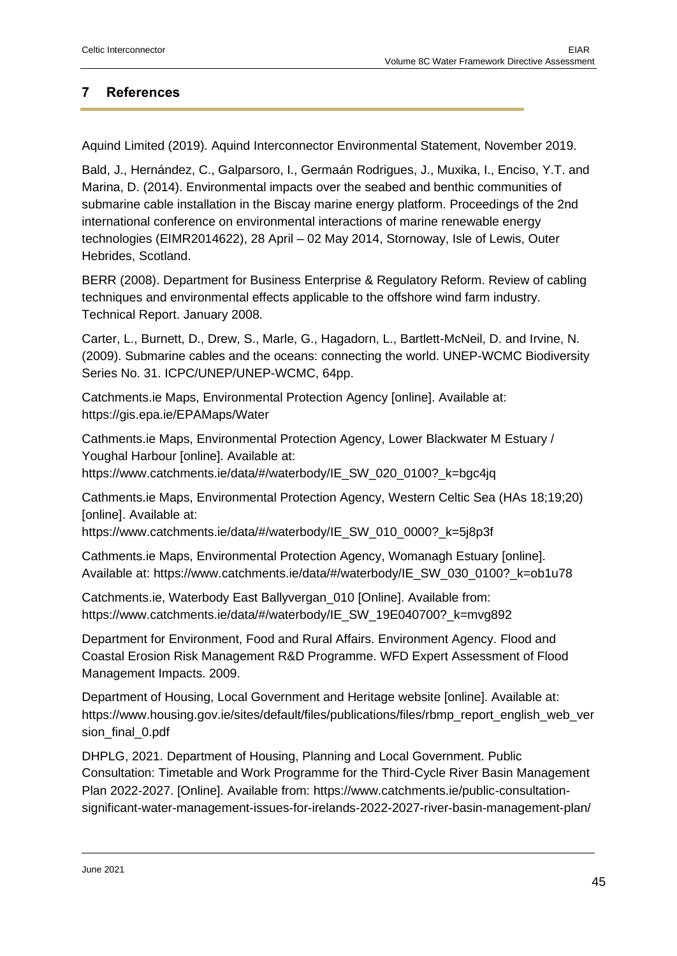### <span id="page-44-0"></span>**7 References**

Aquind Limited (2019). Aquind Interconnector Environmental Statement, November 2019.

Bald, J., Hernández, C., Galparsoro, I., Germaán Rodrigues, J., Muxika, I., Enciso, Y.T. and Marina, D. (2014). Environmental impacts over the seabed and benthic communities of submarine cable installation in the Biscay marine energy platform. Proceedings of the 2nd international conference on environmental interactions of marine renewable energy technologies (EIMR2014622), 28 April – 02 May 2014, Stornoway, Isle of Lewis, Outer Hebrides, Scotland.

BERR (2008). Department for Business Enterprise & Regulatory Reform. Review of cabling techniques and environmental effects applicable to the offshore wind farm industry. Technical Report. January 2008.

Carter, L., Burnett, D., Drew, S., Marle, G., Hagadorn, L., Bartlett-McNeil, D. and Irvine, N. (2009). Submarine cables and the oceans: connecting the world. UNEP-WCMC Biodiversity Series No. 31. ICPC/UNEP/UNEP-WCMC, 64pp.

Catchments.ie Maps, Environmental Protection Agency [online]. Available at: https://gis.epa.ie/EPAMaps/Water

Cathments.ie Maps, Environmental Protection Agency, Lower Blackwater M Estuary / Youghal Harbour [online]. Available at:

https://www.catchments.ie/data/#/waterbody/IE\_SW\_020\_0100?\_k=bgc4jq

Cathments.ie Maps, Environmental Protection Agency, Western Celtic Sea (HAs 18;19;20) [online]. Available at:

https://www.catchments.ie/data/#/waterbody/IE\_SW\_010\_0000?\_k=5j8p3f

Cathments.ie Maps, Environmental Protection Agency, Womanagh Estuary [online]. Available at: https://www.catchments.ie/data/#/waterbody/IE\_SW\_030\_0100?\_k=ob1u78

Catchments.ie, Waterbody East Ballyvergan\_010 [Online]. Available from: https://www.catchments.ie/data/#/waterbody/IE\_SW\_19E040700?\_k=mvg892

Department for Environment, Food and Rural Affairs. Environment Agency. Flood and Coastal Erosion Risk Management R&D Programme. WFD Expert Assessment of Flood Management Impacts. 2009.

Department of Housing, Local Government and Heritage website [online]. Available at: https://www.housing.gov.ie/sites/default/files/publications/files/rbmp\_report\_english\_web\_ver sion final 0.pdf

DHPLG, 2021. Department of Housing, Planning and Local Government. Public Consultation: Timetable and Work Programme for the Third-Cycle River Basin Management Plan 2022-2027. [Online]. Available from: https://www.catchments.ie/public-consultationsignificant-water-management-issues-for-irelands-2022-2027-river-basin-management-plan/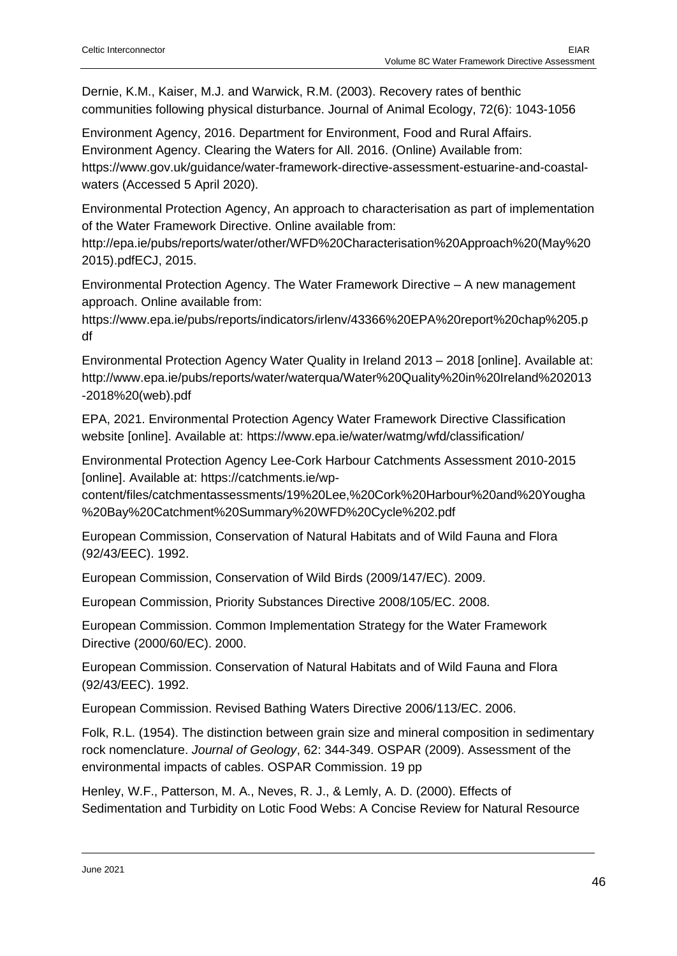Dernie, K.M., Kaiser, M.J. and Warwick, R.M. (2003). Recovery rates of benthic communities following physical disturbance. Journal of Animal Ecology, 72(6): 1043-1056

Environment Agency, 2016. Department for Environment, Food and Rural Affairs. Environment Agency. Clearing the Waters for All. 2016. (Online) Available from: https://www.gov.uk/guidance/water-framework-directive-assessment-estuarine-and-coastalwaters (Accessed 5 April 2020).

Environmental Protection Agency, An approach to characterisation as part of implementation of the Water Framework Directive. Online available from:

http://epa.ie/pubs/reports/water/other/WFD%20Characterisation%20Approach%20(May%20 2015).pdfECJ, 2015.

Environmental Protection Agency. The Water Framework Directive – A new management approach. Online available from:

https://www.epa.ie/pubs/reports/indicators/irlenv/43366%20EPA%20report%20chap%205.p df

Environmental Protection Agency Water Quality in Ireland 2013 – 2018 [online]. Available at: http://www.epa.ie/pubs/reports/water/waterqua/Water%20Quality%20in%20Ireland%202013 -2018%20(web).pdf

EPA, 2021. Environmental Protection Agency Water Framework Directive Classification website [online]. Available at: https://www.epa.ie/water/watmg/wfd/classification/

Environmental Protection Agency Lee-Cork Harbour Catchments Assessment 2010-2015 [online]. Available at: https://catchments.ie/wp-

content/files/catchmentassessments/19%20Lee,%20Cork%20Harbour%20and%20Yougha %20Bay%20Catchment%20Summary%20WFD%20Cycle%202.pdf

European Commission, Conservation of Natural Habitats and of Wild Fauna and Flora (92/43/EEC). 1992.

European Commission, Conservation of Wild Birds (2009/147/EC). 2009.

European Commission, Priority Substances Directive 2008/105/EC. 2008.

European Commission. Common Implementation Strategy for the Water Framework Directive (2000/60/EC). 2000.

European Commission. Conservation of Natural Habitats and of Wild Fauna and Flora (92/43/EEC). 1992.

European Commission. Revised Bathing Waters Directive 2006/113/EC. 2006.

Folk, R.L. (1954). The distinction between grain size and mineral composition in sedimentary rock nomenclature. *Journal of Geology*, 62: 344-349. OSPAR (2009). Assessment of the environmental impacts of cables. OSPAR Commission. 19 pp

Henley, W.F., Patterson, M. A., Neves, R. J., & Lemly, A. D. (2000). Effects of Sedimentation and Turbidity on Lotic Food Webs: A Concise Review for Natural Resource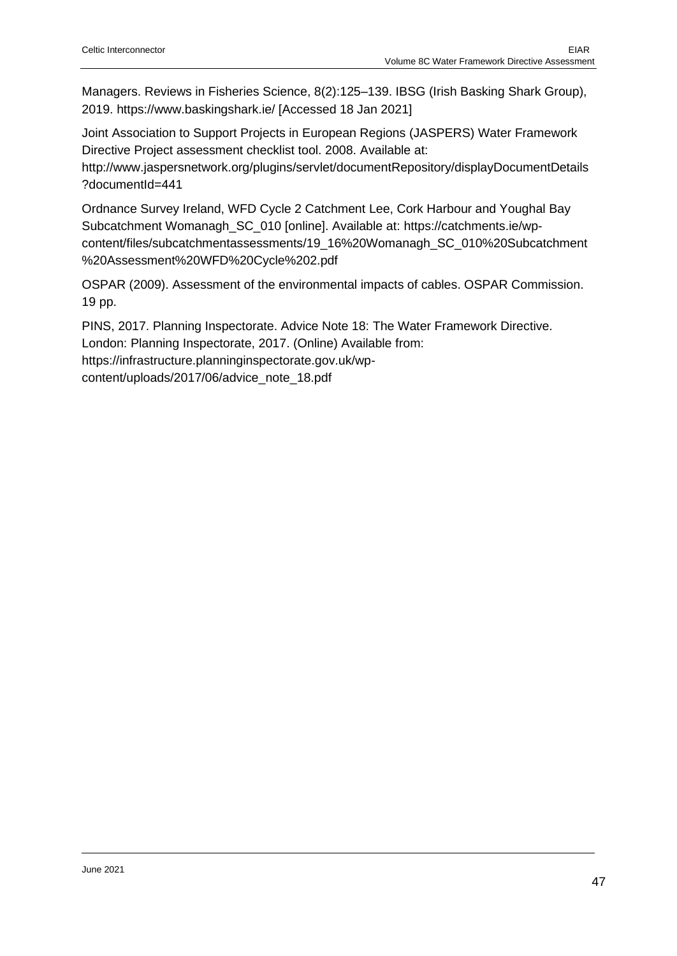Managers. Reviews in Fisheries Science, 8(2):125–139. IBSG (Irish Basking Shark Group), 2019. https://www.baskingshark.ie/ [Accessed 18 Jan 2021]

Joint Association to Support Projects in European Regions (JASPERS) Water Framework Directive Project assessment checklist tool. 2008. Available at:

http://www.jaspersnetwork.org/plugins/servlet/documentRepository/displayDocumentDetails ?documentId=441

Ordnance Survey Ireland, WFD Cycle 2 Catchment Lee, Cork Harbour and Youghal Bay Subcatchment Womanagh\_SC\_010 [online]. Available at: https://catchments.ie/wpcontent/files/subcatchmentassessments/19\_16%20Womanagh\_SC\_010%20Subcatchment %20Assessment%20WFD%20Cycle%202.pdf

OSPAR (2009). Assessment of the environmental impacts of cables. OSPAR Commission. 19 pp.

PINS, 2017. Planning Inspectorate. Advice Note 18: The Water Framework Directive. London: Planning Inspectorate, 2017. (Online) Available from: https://infrastructure.planninginspectorate.gov.uk/wpcontent/uploads/2017/06/advice\_note\_18.pdf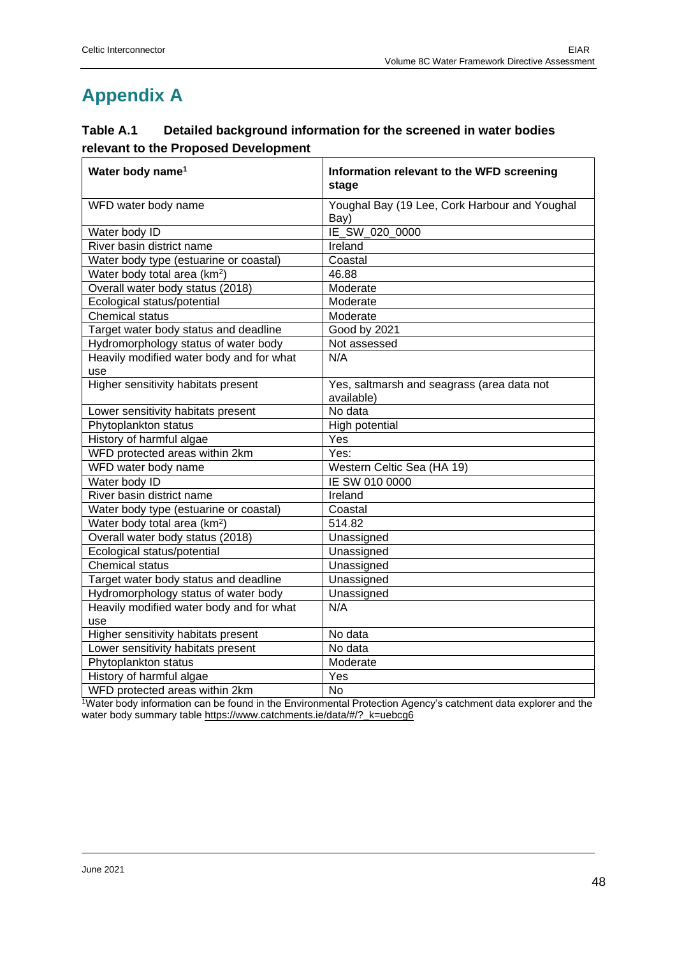# **Appendix A**

| Table A.1 | Detailed background information for the screened in water bodies |
|-----------|------------------------------------------------------------------|
|           | relevant to the Proposed Development                             |

| Water body name <sup>1</sup>               | Information relevant to the WFD screening<br>stage       |  |  |
|--------------------------------------------|----------------------------------------------------------|--|--|
| WFD water body name                        | Youghal Bay (19 Lee, Cork Harbour and Youghal<br>Bay)    |  |  |
| Water body ID                              | IE_SW_020_0000                                           |  |  |
| River basin district name                  | Ireland                                                  |  |  |
| Water body type (estuarine or coastal)     | Coastal                                                  |  |  |
| Water body total area (km <sup>2</sup> )   | 46.88                                                    |  |  |
| Overall water body status (2018)           | Moderate                                                 |  |  |
| Ecological status/potential                | Moderate                                                 |  |  |
| <b>Chemical status</b>                     | Moderate                                                 |  |  |
| Target water body status and deadline      | Good by 2021                                             |  |  |
| Hydromorphology status of water body       | Not assessed                                             |  |  |
| Heavily modified water body and for what   | N/A                                                      |  |  |
| use                                        |                                                          |  |  |
| <b>Higher sensitivity habitats present</b> | Yes, saltmarsh and seagrass (area data not<br>available) |  |  |
| Lower sensitivity habitats present         | No data                                                  |  |  |
| Phytoplankton status                       | High potential                                           |  |  |
| History of harmful algae                   | Yes                                                      |  |  |
| WFD protected areas within 2km             | Yes:                                                     |  |  |
| WFD water body name                        | Western Celtic Sea (HA 19)                               |  |  |
| Water body ID                              | IE SW 010 0000                                           |  |  |
| River basin district name                  | Ireland                                                  |  |  |
| Water body type (estuarine or coastal)     | Coastal                                                  |  |  |
| Water body total area (km <sup>2</sup> )   | 514.82                                                   |  |  |
| Overall water body status (2018)           | Unassigned                                               |  |  |
| Ecological status/potential                | Unassigned                                               |  |  |
| <b>Chemical status</b>                     | Unassigned                                               |  |  |
| Target water body status and deadline      | Unassigned                                               |  |  |
| Hydromorphology status of water body       | Unassigned                                               |  |  |
| Heavily modified water body and for what   | N/A                                                      |  |  |
| use                                        |                                                          |  |  |
| <b>Higher sensitivity habitats present</b> | No data                                                  |  |  |
| Lower sensitivity habitats present         | No data                                                  |  |  |
| Phytoplankton status                       | Moderate                                                 |  |  |
| History of harmful algae                   | Yes                                                      |  |  |
| WFD protected areas within 2km             | <b>No</b>                                                |  |  |

<sup>1</sup>Water body information can be found in the Environmental Protection Agency's catchment data explorer and the water body summary table [https://www.catchments.ie/data/#/?\\_k=uebcg6](https://www.catchments.ie/data/#/?_k=uebcg6)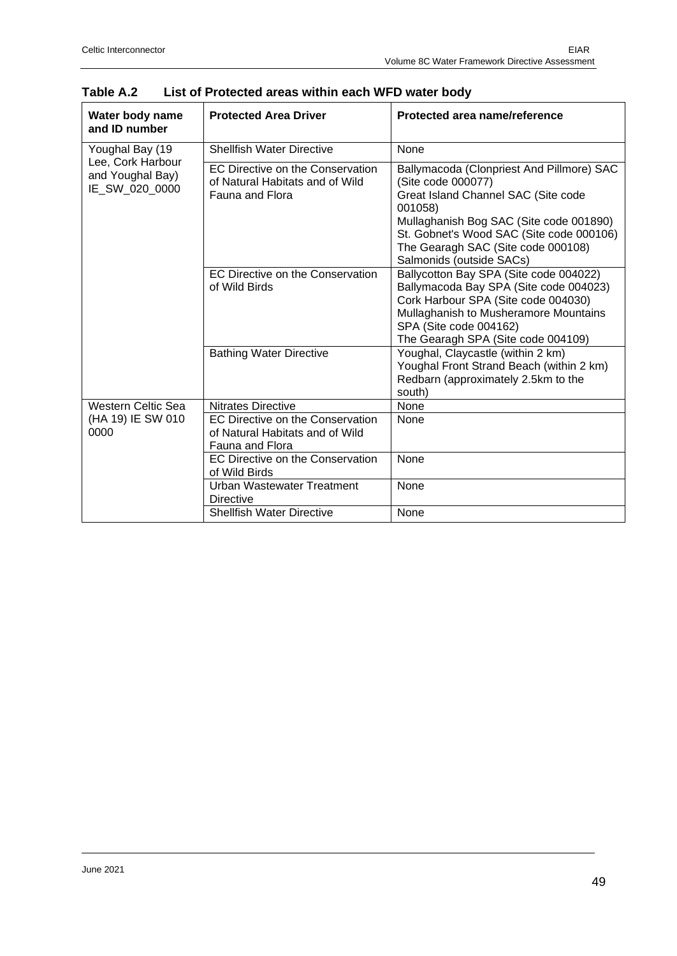| Water body name<br>and ID number                        | <b>Protected Area Driver</b>                                                           | Protected area name/reference                                                                                                                                                                                                                                              |
|---------------------------------------------------------|----------------------------------------------------------------------------------------|----------------------------------------------------------------------------------------------------------------------------------------------------------------------------------------------------------------------------------------------------------------------------|
| Youghal Bay (19                                         | <b>Shellfish Water Directive</b>                                                       | <b>None</b>                                                                                                                                                                                                                                                                |
| Lee, Cork Harbour<br>and Youghal Bay)<br>IE SW 020 0000 | EC Directive on the Conservation<br>of Natural Habitats and of Wild<br>Fauna and Flora | Ballymacoda (Clonpriest And Pillmore) SAC<br>(Site code 000077)<br>Great Island Channel SAC (Site code<br>001058)<br>Mullaghanish Bog SAC (Site code 001890)<br>St. Gobnet's Wood SAC (Site code 000106)<br>The Gearagh SAC (Site code 000108)<br>Salmonids (outside SACs) |
|                                                         | EC Directive on the Conservation<br>of Wild Birds                                      | Ballycotton Bay SPA (Site code 004022)<br>Ballymacoda Bay SPA (Site code 004023)<br>Cork Harbour SPA (Site code 004030)<br>Mullaghanish to Musheramore Mountains<br>SPA (Site code 004162)<br>The Gearagh SPA (Site code 004109)                                           |
|                                                         | <b>Bathing Water Directive</b>                                                         | Youghal, Claycastle (within 2 km)<br>Youghal Front Strand Beach (within 2 km)<br>Redbarn (approximately 2.5km to the<br>south)                                                                                                                                             |
| <b>Western Celtic Sea</b>                               | <b>Nitrates Directive</b>                                                              | None                                                                                                                                                                                                                                                                       |
| (HA 19) IE SW 010<br>0000                               | EC Directive on the Conservation<br>of Natural Habitats and of Wild<br>Fauna and Flora | None                                                                                                                                                                                                                                                                       |
|                                                         | EC Directive on the Conservation<br>of Wild Birds                                      | <b>None</b>                                                                                                                                                                                                                                                                |
|                                                         | <b>Urban Wastewater Treatment</b><br><b>Directive</b>                                  | None                                                                                                                                                                                                                                                                       |
|                                                         | <b>Shellfish Water Directive</b>                                                       | None                                                                                                                                                                                                                                                                       |

| Table A.2<br>List of Protected areas within each WFD water body |  |
|-----------------------------------------------------------------|--|
|-----------------------------------------------------------------|--|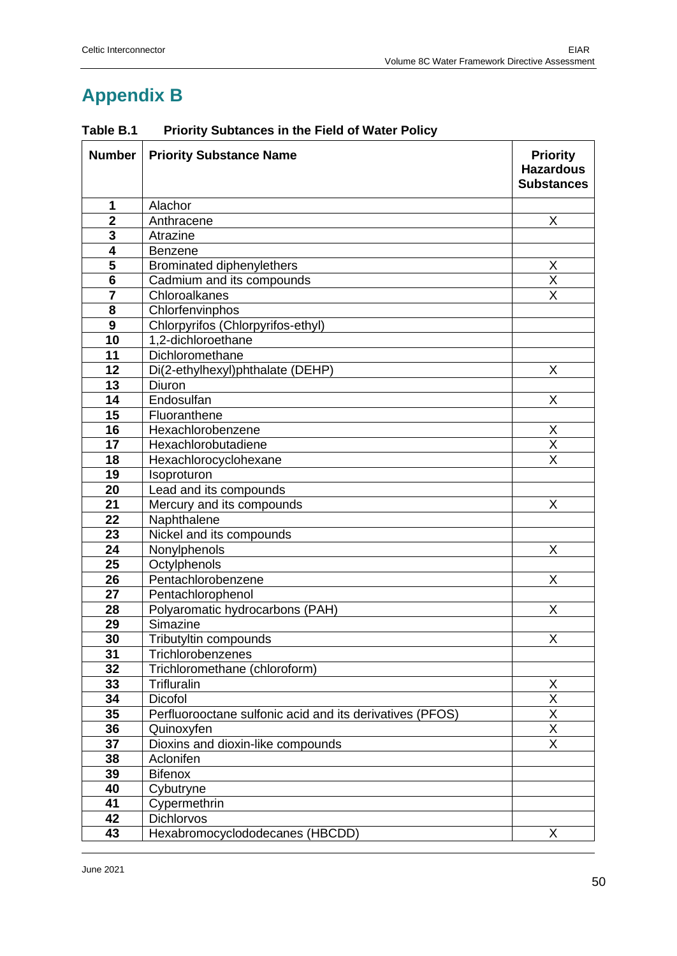# **Appendix B**

| <b>Number</b>   | <b>Priority Substance Name</b>                           | <b>Priority</b><br><b>Hazardous</b><br><b>Substances</b> |
|-----------------|----------------------------------------------------------|----------------------------------------------------------|
| 1               | Alachor                                                  |                                                          |
| $\overline{2}$  | Anthracene                                               | X                                                        |
| 3               | Atrazine                                                 |                                                          |
| 4               | <b>Benzene</b>                                           |                                                          |
| 5               | <b>Brominated diphenylethers</b>                         | X                                                        |
| $6\phantom{1}6$ | Cadmium and its compounds                                | $\overline{\mathsf{x}}$                                  |
| $\overline{7}$  | Chloroalkanes                                            | $\overline{\mathsf{x}}$                                  |
| 8               | Chlorfenvinphos                                          |                                                          |
| 9               | Chlorpyrifos (Chlorpyrifos-ethyl)                        |                                                          |
| 10              | 1,2-dichloroethane                                       |                                                          |
| 11              | Dichloromethane                                          |                                                          |
| 12              | Di(2-ethylhexyl)phthalate (DEHP)                         | X                                                        |
| 13              | Diuron                                                   |                                                          |
| 14              | Endosulfan                                               | X                                                        |
| 15              | Fluoranthene                                             |                                                          |
| 16              | Hexachlorobenzene                                        | X                                                        |
| 17              | Hexachlorobutadiene                                      | $\overline{X}$<br>$\overline{\mathsf{x}}$                |
| 18              | Hexachlorocyclohexane                                    |                                                          |
| 19              | Isoproturon                                              |                                                          |
| 20              | Lead and its compounds                                   |                                                          |
| 21              | Mercury and its compounds                                | X                                                        |
| 22              | Naphthalene                                              |                                                          |
| 23              | Nickel and its compounds                                 | X                                                        |
| 24<br>25        | Nonylphenols<br>Octylphenols                             |                                                          |
| 26              | Pentachlorobenzene                                       | X                                                        |
| 27              | Pentachlorophenol                                        |                                                          |
| 28              | Polyaromatic hydrocarbons (PAH)                          | X                                                        |
| 29              | Simazine                                                 |                                                          |
| 30              | Tributyltin compounds                                    | X                                                        |
| $\overline{31}$ | Trichlorobenzenes                                        |                                                          |
| 32              | Trichloromethane (chloroform)                            |                                                          |
| 33              | Trifluralin                                              | X                                                        |
| 34              | Dicofol                                                  | X                                                        |
| 35              | Perfluorooctane sulfonic acid and its derivatives (PFOS) | $\overline{\mathsf{x}}$                                  |
| 36              | Quinoxyfen                                               | $\overline{\mathsf{x}}$                                  |
| 37              | Dioxins and dioxin-like compounds                        | $\overline{\mathsf{x}}$                                  |
| 38              | Aclonifen                                                |                                                          |
| 39              | <b>Bifenox</b>                                           |                                                          |
| 40              | Cybutryne                                                |                                                          |
| 41              | Cypermethrin                                             |                                                          |
| 42              | <b>Dichlorvos</b>                                        |                                                          |
| 43              | Hexabromocyclododecanes (HBCDD)                          | X                                                        |

# **Table B.1 Priority Subtances in the Field of Water Policy**